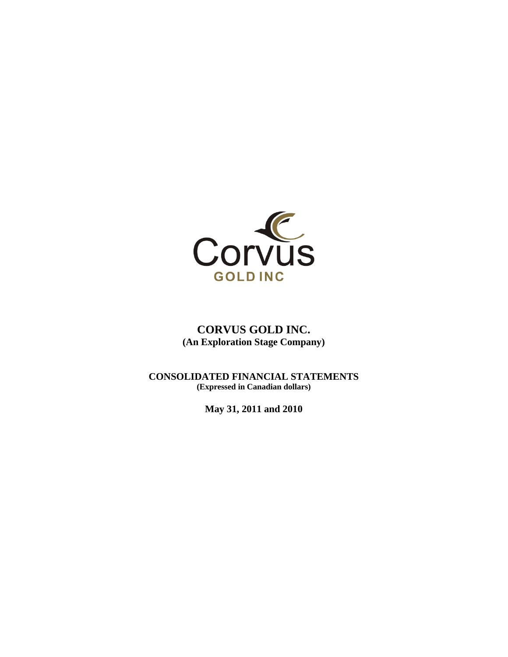

# **CORVUS GOLD INC. (An Exploration Stage Company)**

**CONSOLIDATED FINANCIAL STATEMENTS (Expressed in Canadian dollars)** 

**May 31, 2011 and 2010**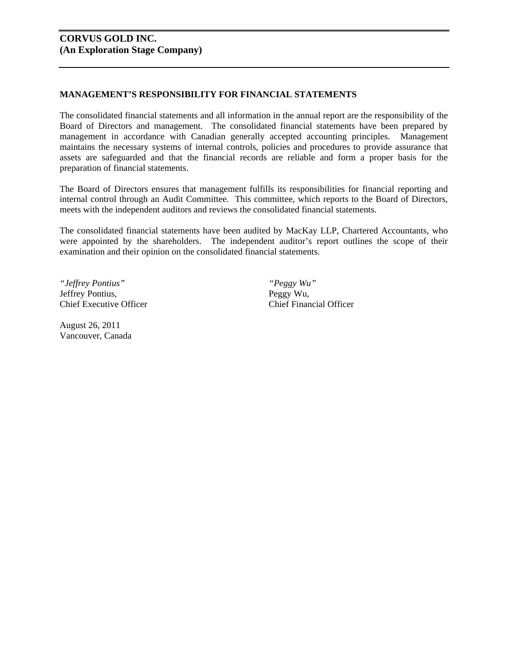# **CORVUS GOLD INC. (An Exploration Stage Company)**

# **MANAGEMENT'S RESPONSIBILITY FOR FINANCIAL STATEMENTS**

The consolidated financial statements and all information in the annual report are the responsibility of the Board of Directors and management. The consolidated financial statements have been prepared by management in accordance with Canadian generally accepted accounting principles. Management maintains the necessary systems of internal controls, policies and procedures to provide assurance that assets are safeguarded and that the financial records are reliable and form a proper basis for the preparation of financial statements.

The Board of Directors ensures that management fulfills its responsibilities for financial reporting and internal control through an Audit Committee. This committee, which reports to the Board of Directors, meets with the independent auditors and reviews the consolidated financial statements.

The consolidated financial statements have been audited by MacKay LLP, Chartered Accountants, who were appointed by the shareholders. The independent auditor's report outlines the scope of their examination and their opinion on the consolidated financial statements.

*"Jeffrey Pontius" "Peggy Wu"*  Jeffrey Pontius, Peggy Wu, Chief Executive Officer Chief Financial Officer

August 26, 2011 Vancouver, Canada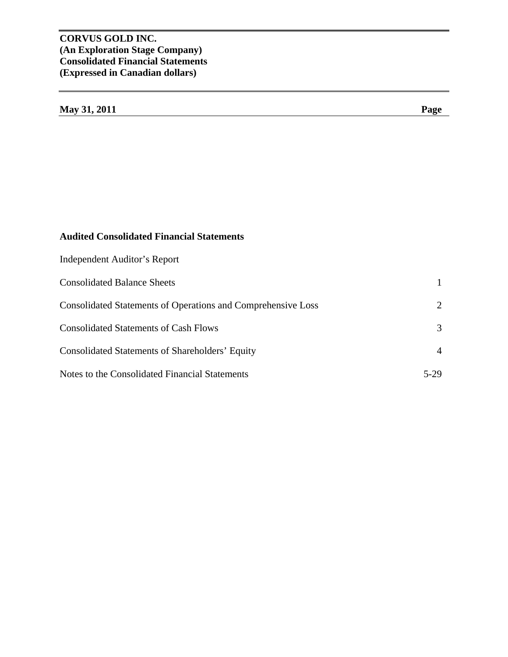# **CORVUS GOLD INC. (An Exploration Stage Company) Consolidated Financial Statements (Expressed in Canadian dollars)**

| May 31, 2011 | Page |
|--------------|------|
|--------------|------|

|  | <b>Audited Consolidated Financial Statements</b> |
|--|--------------------------------------------------|
|--|--------------------------------------------------|

| Independent Auditor's Report                                 |                |
|--------------------------------------------------------------|----------------|
| <b>Consolidated Balance Sheets</b>                           |                |
| Consolidated Statements of Operations and Comprehensive Loss | 2              |
| <b>Consolidated Statements of Cash Flows</b>                 | 3              |
| Consolidated Statements of Shareholders' Equity              | $\overline{4}$ |
| Notes to the Consolidated Financial Statements               | 5-29           |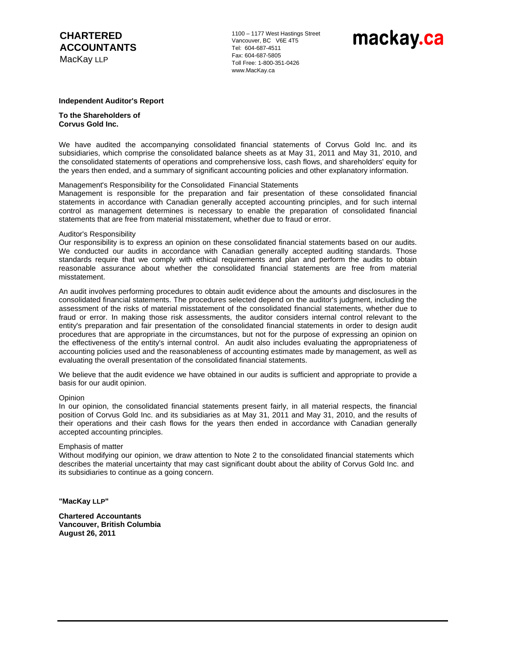# **CHARTERED ACCOUNTANTS**

MacKay LLP

1100 – 1177 West Hastings Street Vancouver, BC V6E 4T5 Tel: 604-687-4511 Fax: 604-687-5805 Toll Free: 1-800-351-0426 www.MacKay.ca

# mackay.ca

#### **Independent Auditor's Report**

**To the Shareholders of Corvus Gold Inc.** 

We have audited the accompanying consolidated financial statements of Corvus Gold Inc. and its subsidiaries, which comprise the consolidated balance sheets as at May 31, 2011 and May 31, 2010, and the consolidated statements of operations and comprehensive loss, cash flows, and shareholders' equity for the years then ended, and a summary of significant accounting policies and other explanatory information.

#### Management's Responsibility for the Consolidated Financial Statements

Management is responsible for the preparation and fair presentation of these consolidated financial statements in accordance with Canadian generally accepted accounting principles, and for such internal control as management determines is necessary to enable the preparation of consolidated financial statements that are free from material misstatement, whether due to fraud or error.

#### Auditor's Responsibility

Our responsibility is to express an opinion on these consolidated financial statements based on our audits. We conducted our audits in accordance with Canadian generally accepted auditing standards. Those standards require that we comply with ethical requirements and plan and perform the audits to obtain reasonable assurance about whether the consolidated financial statements are free from material misstatement.

An audit involves performing procedures to obtain audit evidence about the amounts and disclosures in the consolidated financial statements. The procedures selected depend on the auditor's judgment, including the assessment of the risks of material misstatement of the consolidated financial statements, whether due to fraud or error. In making those risk assessments, the auditor considers internal control relevant to the entity's preparation and fair presentation of the consolidated financial statements in order to design audit procedures that are appropriate in the circumstances, but not for the purpose of expressing an opinion on the effectiveness of the entity's internal control. An audit also includes evaluating the appropriateness of accounting policies used and the reasonableness of accounting estimates made by management, as well as evaluating the overall presentation of the consolidated financial statements.

We believe that the audit evidence we have obtained in our audits is sufficient and appropriate to provide a basis for our audit opinion.

#### **Opinion**

In our opinion, the consolidated financial statements present fairly, in all material respects, the financial position of Corvus Gold Inc. and its subsidiaries as at May 31, 2011 and May 31, 2010, and the results of their operations and their cash flows for the years then ended in accordance with Canadian generally accepted accounting principles.

#### Emphasis of matter

Without modifying our opinion, we draw attention to Note 2 to the consolidated financial statements which describes the material uncertainty that may cast significant doubt about the ability of Corvus Gold Inc. and its subsidiaries to continue as a going concern.

**"MacKay LLP"**

**Chartered Accountants Vancouver, British Columbia August 26, 2011**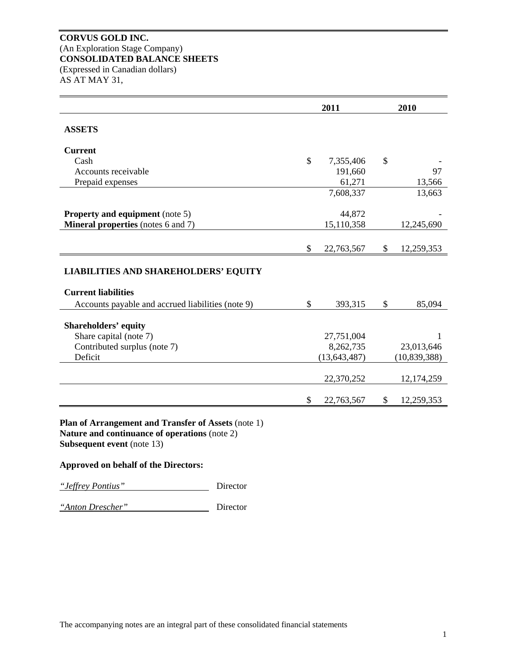# **CORVUS GOLD INC.**  (An Exploration Stage Company) **CONSOLIDATED BALANCE SHEETS**  (Expressed in Canadian dollars) AS AT MAY 31,

|                                                                           |               | 2011           | 2010 |                |  |
|---------------------------------------------------------------------------|---------------|----------------|------|----------------|--|
| <b>ASSETS</b>                                                             |               |                |      |                |  |
| <b>Current</b>                                                            |               |                |      |                |  |
| Cash                                                                      | $\mathcal{S}$ | 7,355,406      | \$   |                |  |
| Accounts receivable                                                       |               | 191,660        |      | 97             |  |
| Prepaid expenses                                                          |               | 61,271         |      | 13,566         |  |
|                                                                           |               | 7,608,337      |      | 13,663         |  |
| <b>Property and equipment</b> (note 5)                                    |               | 44,872         |      |                |  |
| <b>Mineral properties</b> (notes 6 and 7)                                 |               | 15,110,358     |      | 12,245,690     |  |
|                                                                           | \$            | 22,763,567     | \$   | 12,259,353     |  |
| <b>LIABILITIES AND SHAREHOLDERS' EQUITY</b><br><b>Current liabilities</b> |               |                |      |                |  |
|                                                                           |               |                |      |                |  |
| Accounts payable and accrued liabilities (note 9)                         | $\mathbb{S}$  | 393,315        | \$   | 85,094         |  |
| <b>Shareholders' equity</b>                                               |               |                |      |                |  |
| Share capital (note 7)                                                    |               | 27,751,004     |      | 1              |  |
| Contributed surplus (note 7)                                              |               | 8,262,735      |      | 23,013,646     |  |
| Deficit                                                                   |               | (13, 643, 487) |      | (10, 839, 388) |  |
|                                                                           |               | 22,370,252     |      | 12,174,259     |  |

**Subsequent event** (note 13)

# **Approved on behalf of the Directors:**

*"Jeffrey Pontius"* Director

*"Anton Drescher"* Director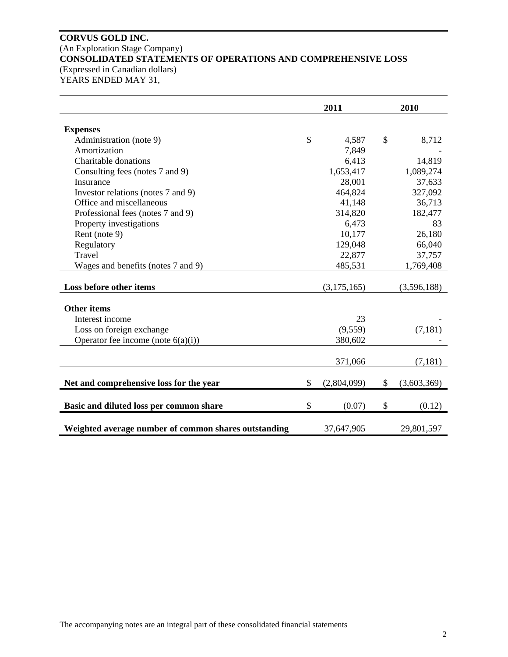# **CORVUS GOLD INC.**  (An Exploration Stage Company) **CONSOLIDATED STATEMENTS OF OPERATIONS AND COMPREHENSIVE LOSS**  (Expressed in Canadian dollars) YEARS ENDED MAY 31,

|                                                      | 2011          |             |    | 2010        |  |  |
|------------------------------------------------------|---------------|-------------|----|-------------|--|--|
|                                                      |               |             |    |             |  |  |
| <b>Expenses</b>                                      | $\mathcal{S}$ | 4,587       | \$ | 8,712       |  |  |
| Administration (note 9)<br>Amortization              |               |             |    |             |  |  |
|                                                      |               | 7,849       |    |             |  |  |
| Charitable donations                                 |               | 6,413       |    | 14,819      |  |  |
| Consulting fees (notes 7 and 9)                      |               | 1,653,417   |    | 1,089,274   |  |  |
| Insurance                                            |               | 28,001      |    | 37,633      |  |  |
| Investor relations (notes 7 and 9)                   |               | 464,824     |    | 327,092     |  |  |
| Office and miscellaneous                             |               | 41,148      |    | 36,713      |  |  |
| Professional fees (notes 7 and 9)                    |               | 314,820     |    | 182,477     |  |  |
| Property investigations                              |               | 6,473       |    | 83          |  |  |
| Rent (note 9)                                        |               | 10,177      |    | 26,180      |  |  |
| Regulatory                                           |               | 129,048     |    | 66,040      |  |  |
| Travel                                               |               | 22,877      |    | 37,757      |  |  |
| Wages and benefits (notes 7 and 9)                   |               | 485,531     |    | 1,769,408   |  |  |
|                                                      |               |             |    |             |  |  |
| Loss before other items                              |               | (3,175,165) |    | (3,596,188) |  |  |
|                                                      |               |             |    |             |  |  |
| <b>Other items</b>                                   |               |             |    |             |  |  |
| Interest income                                      |               | 23          |    |             |  |  |
| Loss on foreign exchange                             |               | (9,559)     |    | (7, 181)    |  |  |
| Operator fee income (note $6(a)(i)$ )                |               | 380,602     |    |             |  |  |
|                                                      |               |             |    |             |  |  |
|                                                      |               | 371,066     |    | (7, 181)    |  |  |
|                                                      |               |             |    |             |  |  |
| Net and comprehensive loss for the year              | \$            | (2,804,099) | \$ | (3,603,369) |  |  |
| Basic and diluted loss per common share              | \$            | (0.07)      | \$ | (0.12)      |  |  |
|                                                      |               |             |    |             |  |  |
| Weighted average number of common shares outstanding |               | 37,647,905  |    | 29,801,597  |  |  |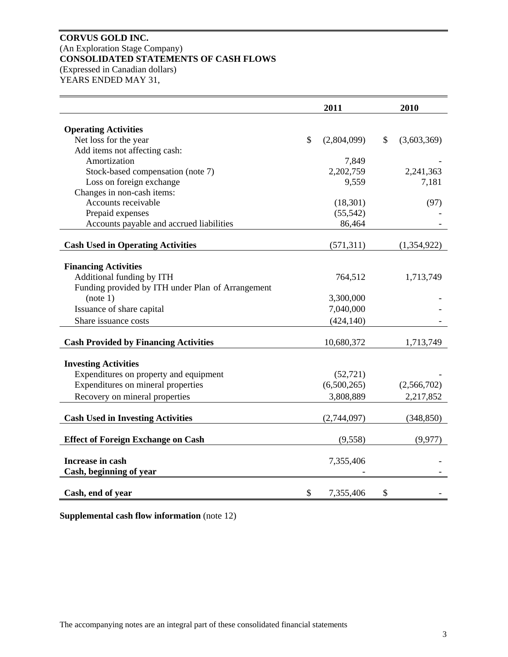# **CORVUS GOLD INC.**  (An Exploration Stage Company) **CONSOLIDATED STATEMENTS OF CASH FLOWS**  (Expressed in Canadian dollars) YEARS ENDED MAY 31,

|                                                   | 2011              | 2010              |
|---------------------------------------------------|-------------------|-------------------|
| <b>Operating Activities</b>                       |                   |                   |
| Net loss for the year                             | \$<br>(2,804,099) | \$<br>(3,603,369) |
| Add items not affecting cash:                     |                   |                   |
| Amortization                                      | 7,849             |                   |
| Stock-based compensation (note 7)                 | 2,202,759         | 2,241,363         |
| Loss on foreign exchange                          | 9,559             | 7,181             |
| Changes in non-cash items:                        |                   |                   |
| Accounts receivable                               | (18, 301)         | (97)              |
| Prepaid expenses                                  | (55, 542)         |                   |
| Accounts payable and accrued liabilities          | 86,464            |                   |
| <b>Cash Used in Operating Activities</b>          | (571, 311)        | (1,354,922)       |
|                                                   |                   |                   |
| <b>Financing Activities</b>                       |                   |                   |
| Additional funding by ITH                         | 764,512           | 1,713,749         |
| Funding provided by ITH under Plan of Arrangement |                   |                   |
| (note 1)                                          | 3,300,000         |                   |
| Issuance of share capital                         | 7,040,000         |                   |
| Share issuance costs                              | (424, 140)        |                   |
|                                                   |                   |                   |
| <b>Cash Provided by Financing Activities</b>      | 10,680,372        | 1,713,749         |
| <b>Investing Activities</b>                       |                   |                   |
| Expenditures on property and equipment            | (52, 721)         |                   |
| Expenditures on mineral properties                | (6,500,265)       | (2,566,702)       |
| Recovery on mineral properties                    | 3,808,889         | 2,217,852         |
|                                                   |                   |                   |
| <b>Cash Used in Investing Activities</b>          | (2,744,097)       | (348, 850)        |
|                                                   |                   |                   |
| <b>Effect of Foreign Exchange on Cash</b>         | (9,558)           | (9, 977)          |
| Increase in cash                                  | 7,355,406         |                   |
| Cash, beginning of year                           |                   |                   |
|                                                   |                   |                   |
| Cash, end of year                                 | \$<br>7,355,406   | \$                |

**Supplemental cash flow information** (note 12)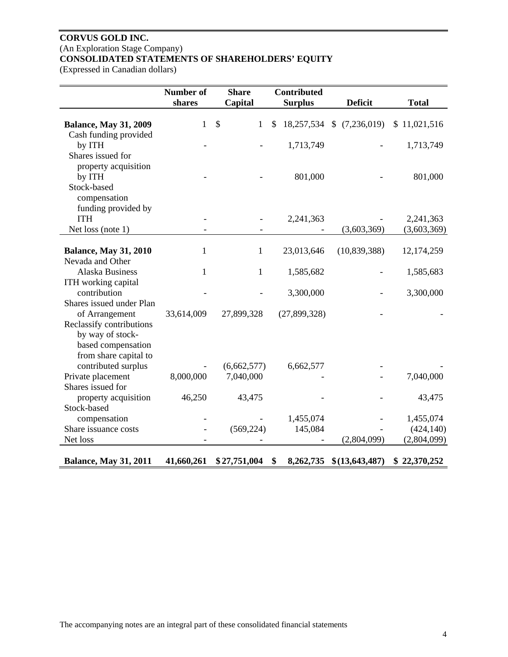# **CORVUS GOLD INC.**  (An Exploration Stage Company) **CONSOLIDATED STATEMENTS OF SHAREHOLDERS' EQUITY**

(Expressed in Canadian dollars)

|                                                       | Number of    | <b>Share</b>                              | <b>Contributed</b> |                  |                          |
|-------------------------------------------------------|--------------|-------------------------------------------|--------------------|------------------|--------------------------|
|                                                       | shares       | Capital                                   | <b>Surplus</b>     | <b>Deficit</b>   | <b>Total</b>             |
| <b>Balance, May 31, 2009</b><br>Cash funding provided | $\mathbf{1}$ | $\boldsymbol{\mathsf{S}}$<br>$\mathbf{1}$ | \$<br>18,257,534   | \$(7,236,019)    | \$11,021,516             |
| by ITH                                                |              |                                           | 1,713,749          |                  | 1,713,749                |
| Shares issued for                                     |              |                                           |                    |                  |                          |
| property acquisition<br>by ITH                        |              |                                           | 801,000            |                  | 801,000                  |
| Stock-based                                           |              |                                           |                    |                  |                          |
| compensation                                          |              |                                           |                    |                  |                          |
| funding provided by                                   |              |                                           |                    |                  |                          |
| <b>ITH</b><br>Net loss (note 1)                       |              |                                           | 2,241,363          | (3,603,369)      | 2,241,363<br>(3,603,369) |
|                                                       |              |                                           |                    |                  |                          |
| <b>Balance, May 31, 2010</b><br>Nevada and Other      | 1            | $\mathbf{1}$                              | 23,013,646         | (10, 839, 388)   | 12,174,259               |
| <b>Alaska Business</b>                                | 1            | 1                                         | 1,585,682          |                  | 1,585,683                |
| ITH working capital                                   |              |                                           |                    |                  |                          |
| contribution<br>Shares issued under Plan              |              |                                           | 3,300,000          |                  | 3,300,000                |
| of Arrangement                                        | 33,614,009   | 27,899,328                                | (27,899,328)       |                  |                          |
| Reclassify contributions                              |              |                                           |                    |                  |                          |
| by way of stock-                                      |              |                                           |                    |                  |                          |
| based compensation<br>from share capital to           |              |                                           |                    |                  |                          |
| contributed surplus                                   |              | (6,662,577)                               | 6,662,577          |                  |                          |
| Private placement                                     | 8,000,000    | 7,040,000                                 |                    |                  | 7,040,000                |
| Shares issued for                                     |              |                                           |                    |                  |                          |
| property acquisition                                  | 46,250       | 43,475                                    |                    |                  | 43,475                   |
| Stock-based<br>compensation                           |              |                                           | 1,455,074          |                  | 1,455,074                |
| Share issuance costs                                  |              | (569, 224)                                | 145,084            |                  | (424, 140)               |
| Net loss                                              |              |                                           |                    | (2,804,099)      | (2,804,099)              |
|                                                       |              |                                           |                    |                  |                          |
| <b>Balance, May 31, 2011</b>                          | 41,660,261   | \$27,751,004                              | 8,262,735<br>\$    | \$(13, 643, 487) | \$22,370,252             |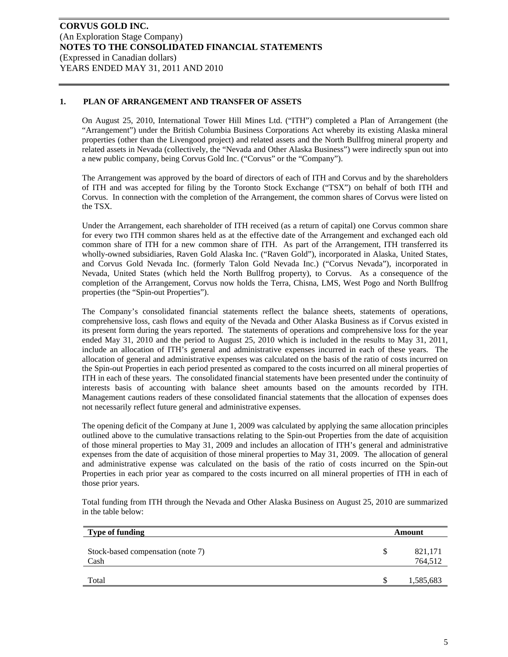### **1. PLAN OF ARRANGEMENT AND TRANSFER OF ASSETS**

On August 25, 2010, International Tower Hill Mines Ltd. ("ITH") completed a Plan of Arrangement (the "Arrangement") under the British Columbia Business Corporations Act whereby its existing Alaska mineral properties (other than the Livengood project) and related assets and the North Bullfrog mineral property and related assets in Nevada (collectively, the "Nevada and Other Alaska Business") were indirectly spun out into a new public company, being Corvus Gold Inc. ("Corvus" or the "Company").

The Arrangement was approved by the board of directors of each of ITH and Corvus and by the shareholders of ITH and was accepted for filing by the Toronto Stock Exchange ("TSX") on behalf of both ITH and Corvus. In connection with the completion of the Arrangement, the common shares of Corvus were listed on the TSX.

Under the Arrangement, each shareholder of ITH received (as a return of capital) one Corvus common share for every two ITH common shares held as at the effective date of the Arrangement and exchanged each old common share of ITH for a new common share of ITH. As part of the Arrangement, ITH transferred its wholly-owned subsidiaries, Raven Gold Alaska Inc. ("Raven Gold"), incorporated in Alaska, United States, and Corvus Gold Nevada Inc. (formerly Talon Gold Nevada Inc.) ("Corvus Nevada"), incorporated in Nevada, United States (which held the North Bullfrog property), to Corvus. As a consequence of the completion of the Arrangement, Corvus now holds the Terra, Chisna, LMS, West Pogo and North Bullfrog properties (the "Spin-out Properties").

The Company's consolidated financial statements reflect the balance sheets, statements of operations, comprehensive loss, cash flows and equity of the Nevada and Other Alaska Business as if Corvus existed in its present form during the years reported. The statements of operations and comprehensive loss for the year ended May 31, 2010 and the period to August 25, 2010 which is included in the results to May 31, 2011, include an allocation of ITH's general and administrative expenses incurred in each of these years. The allocation of general and administrative expenses was calculated on the basis of the ratio of costs incurred on the Spin-out Properties in each period presented as compared to the costs incurred on all mineral properties of ITH in each of these years. The consolidated financial statements have been presented under the continuity of interests basis of accounting with balance sheet amounts based on the amounts recorded by ITH. Management cautions readers of these consolidated financial statements that the allocation of expenses does not necessarily reflect future general and administrative expenses.

The opening deficit of the Company at June 1, 2009 was calculated by applying the same allocation principles outlined above to the cumulative transactions relating to the Spin-out Properties from the date of acquisition of those mineral properties to May 31, 2009 and includes an allocation of ITH's general and administrative expenses from the date of acquisition of those mineral properties to May 31, 2009. The allocation of general and administrative expense was calculated on the basis of the ratio of costs incurred on the Spin-out Properties in each prior year as compared to the costs incurred on all mineral properties of ITH in each of those prior years.

Total funding from ITH through the Nevada and Other Alaska Business on August 25, 2010 are summarized in the table below:

| Type of funding                           |   | Amount             |
|-------------------------------------------|---|--------------------|
| Stock-based compensation (note 7)<br>Cash | S | 821,171<br>764,512 |
| Total                                     | S | 1,585,683          |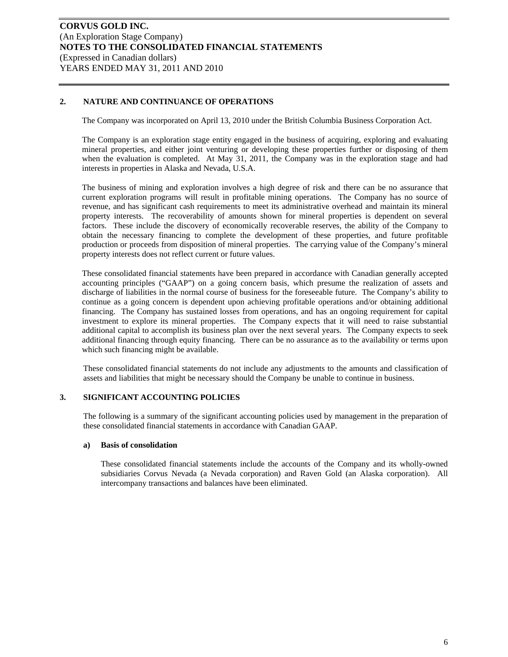# **2. NATURE AND CONTINUANCE OF OPERATIONS**

The Company was incorporated on April 13, 2010 under the British Columbia Business Corporation Act.

The Company is an exploration stage entity engaged in the business of acquiring, exploring and evaluating mineral properties, and either joint venturing or developing these properties further or disposing of them when the evaluation is completed. At May 31, 2011, the Company was in the exploration stage and had interests in properties in Alaska and Nevada, U.S.A.

The business of mining and exploration involves a high degree of risk and there can be no assurance that current exploration programs will result in profitable mining operations. The Company has no source of revenue, and has significant cash requirements to meet its administrative overhead and maintain its mineral property interests. The recoverability of amounts shown for mineral properties is dependent on several factors. These include the discovery of economically recoverable reserves, the ability of the Company to obtain the necessary financing to complete the development of these properties, and future profitable production or proceeds from disposition of mineral properties. The carrying value of the Company's mineral property interests does not reflect current or future values.

These consolidated financial statements have been prepared in accordance with Canadian generally accepted accounting principles ("GAAP") on a going concern basis, which presume the realization of assets and discharge of liabilities in the normal course of business for the foreseeable future. The Company's ability to continue as a going concern is dependent upon achieving profitable operations and/or obtaining additional financing. The Company has sustained losses from operations, and has an ongoing requirement for capital investment to explore its mineral properties. The Company expects that it will need to raise substantial additional capital to accomplish its business plan over the next several years. The Company expects to seek additional financing through equity financing. There can be no assurance as to the availability or terms upon which such financing might be available.

These consolidated financial statements do not include any adjustments to the amounts and classification of assets and liabilities that might be necessary should the Company be unable to continue in business.

#### **3. SIGNIFICANT ACCOUNTING POLICIES**

The following is a summary of the significant accounting policies used by management in the preparation of these consolidated financial statements in accordance with Canadian GAAP.

#### **a) Basis of consolidation**

These consolidated financial statements include the accounts of the Company and its wholly-owned subsidiaries Corvus Nevada (a Nevada corporation) and Raven Gold (an Alaska corporation). All intercompany transactions and balances have been eliminated.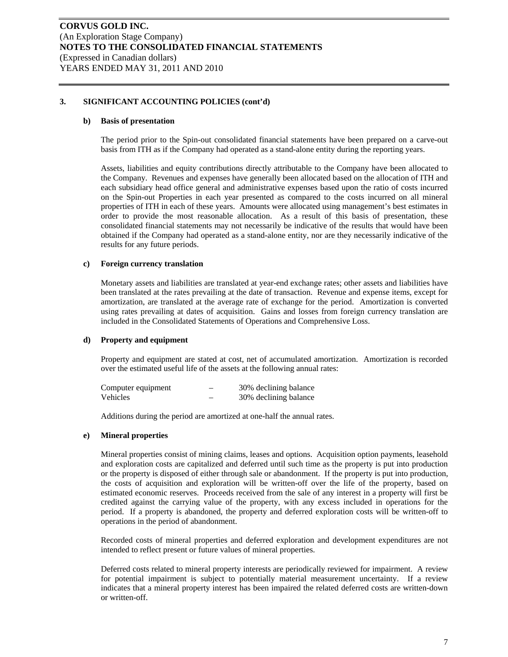#### **b) Basis of presentation**

The period prior to the Spin-out consolidated financial statements have been prepared on a carve-out basis from ITH as if the Company had operated as a stand-alone entity during the reporting years.

Assets, liabilities and equity contributions directly attributable to the Company have been allocated to the Company. Revenues and expenses have generally been allocated based on the allocation of ITH and each subsidiary head office general and administrative expenses based upon the ratio of costs incurred on the Spin-out Properties in each year presented as compared to the costs incurred on all mineral properties of ITH in each of these years. Amounts were allocated using management's best estimates in order to provide the most reasonable allocation. As a result of this basis of presentation, these consolidated financial statements may not necessarily be indicative of the results that would have been obtained if the Company had operated as a stand-alone entity, nor are they necessarily indicative of the results for any future periods.

#### **c) Foreign currency translation**

Monetary assets and liabilities are translated at year-end exchange rates; other assets and liabilities have been translated at the rates prevailing at the date of transaction. Revenue and expense items, except for amortization, are translated at the average rate of exchange for the period. Amortization is converted using rates prevailing at dates of acquisition. Gains and losses from foreign currency translation are included in the Consolidated Statements of Operations and Comprehensive Loss.

#### **d) Property and equipment**

Property and equipment are stated at cost, net of accumulated amortization. Amortization is recorded over the estimated useful life of the assets at the following annual rates:

| Computer equipment | 30% declining balance |
|--------------------|-----------------------|
| Vehicles           | 30% declining balance |

Additions during the period are amortized at one-half the annual rates.

## **e) Mineral properties**

Mineral properties consist of mining claims, leases and options. Acquisition option payments, leasehold and exploration costs are capitalized and deferred until such time as the property is put into production or the property is disposed of either through sale or abandonment. If the property is put into production, the costs of acquisition and exploration will be written-off over the life of the property, based on estimated economic reserves. Proceeds received from the sale of any interest in a property will first be credited against the carrying value of the property, with any excess included in operations for the period. If a property is abandoned, the property and deferred exploration costs will be written-off to operations in the period of abandonment.

Recorded costs of mineral properties and deferred exploration and development expenditures are not intended to reflect present or future values of mineral properties.

Deferred costs related to mineral property interests are periodically reviewed for impairment. A review for potential impairment is subject to potentially material measurement uncertainty. If a review indicates that a mineral property interest has been impaired the related deferred costs are written-down or written-off.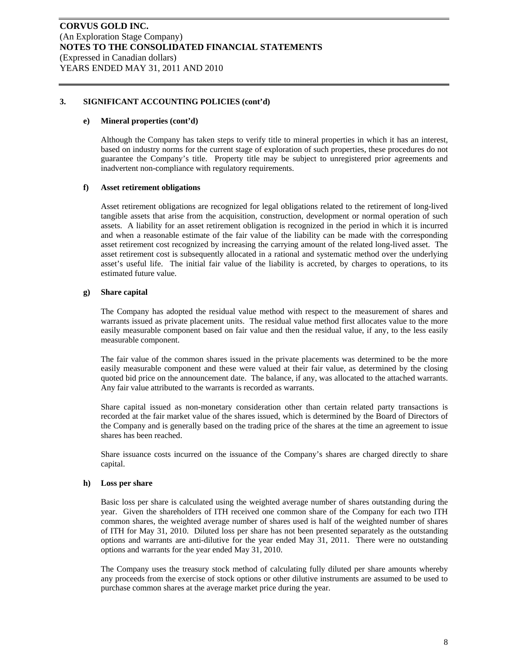#### **e) Mineral properties (cont'd)**

Although the Company has taken steps to verify title to mineral properties in which it has an interest, based on industry norms for the current stage of exploration of such properties, these procedures do not guarantee the Company's title. Property title may be subject to unregistered prior agreements and inadvertent non-compliance with regulatory requirements.

#### **f) Asset retirement obligations**

Asset retirement obligations are recognized for legal obligations related to the retirement of long-lived tangible assets that arise from the acquisition, construction, development or normal operation of such assets. A liability for an asset retirement obligation is recognized in the period in which it is incurred and when a reasonable estimate of the fair value of the liability can be made with the corresponding asset retirement cost recognized by increasing the carrying amount of the related long-lived asset. The asset retirement cost is subsequently allocated in a rational and systematic method over the underlying asset's useful life. The initial fair value of the liability is accreted, by charges to operations, to its estimated future value.

### **g) Share capital**

The Company has adopted the residual value method with respect to the measurement of shares and warrants issued as private placement units. The residual value method first allocates value to the more easily measurable component based on fair value and then the residual value, if any, to the less easily measurable component.

The fair value of the common shares issued in the private placements was determined to be the more easily measurable component and these were valued at their fair value, as determined by the closing quoted bid price on the announcement date. The balance, if any, was allocated to the attached warrants. Any fair value attributed to the warrants is recorded as warrants.

Share capital issued as non-monetary consideration other than certain related party transactions is recorded at the fair market value of the shares issued, which is determined by the Board of Directors of the Company and is generally based on the trading price of the shares at the time an agreement to issue shares has been reached.

Share issuance costs incurred on the issuance of the Company's shares are charged directly to share capital.

#### **h) Loss per share**

Basic loss per share is calculated using the weighted average number of shares outstanding during the year. Given the shareholders of ITH received one common share of the Company for each two ITH common shares, the weighted average number of shares used is half of the weighted number of shares of ITH for May 31, 2010. Diluted loss per share has not been presented separately as the outstanding options and warrants are anti-dilutive for the year ended May 31, 2011. There were no outstanding options and warrants for the year ended May 31, 2010.

The Company uses the treasury stock method of calculating fully diluted per share amounts whereby any proceeds from the exercise of stock options or other dilutive instruments are assumed to be used to purchase common shares at the average market price during the year.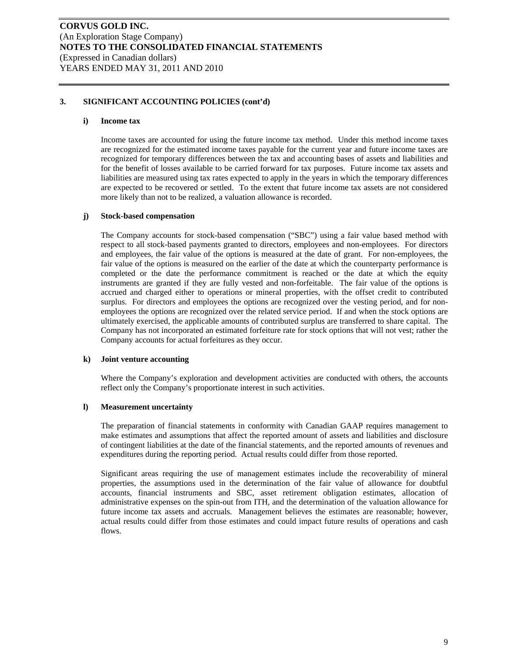#### **i) Income tax**

Income taxes are accounted for using the future income tax method. Under this method income taxes are recognized for the estimated income taxes payable for the current year and future income taxes are recognized for temporary differences between the tax and accounting bases of assets and liabilities and for the benefit of losses available to be carried forward for tax purposes. Future income tax assets and liabilities are measured using tax rates expected to apply in the years in which the temporary differences are expected to be recovered or settled. To the extent that future income tax assets are not considered more likely than not to be realized, a valuation allowance is recorded.

### **j) Stock-based compensation**

The Company accounts for stock-based compensation ("SBC") using a fair value based method with respect to all stock-based payments granted to directors, employees and non-employees. For directors and employees, the fair value of the options is measured at the date of grant. For non-employees, the fair value of the options is measured on the earlier of the date at which the counterparty performance is completed or the date the performance commitment is reached or the date at which the equity instruments are granted if they are fully vested and non-forfeitable. The fair value of the options is accrued and charged either to operations or mineral properties, with the offset credit to contributed surplus. For directors and employees the options are recognized over the vesting period, and for nonemployees the options are recognized over the related service period. If and when the stock options are ultimately exercised, the applicable amounts of contributed surplus are transferred to share capital. The Company has not incorporated an estimated forfeiture rate for stock options that will not vest; rather the Company accounts for actual forfeitures as they occur.

#### **k) Joint venture accounting**

Where the Company's exploration and development activities are conducted with others, the accounts reflect only the Company's proportionate interest in such activities.

#### **l) Measurement uncertainty**

The preparation of financial statements in conformity with Canadian GAAP requires management to make estimates and assumptions that affect the reported amount of assets and liabilities and disclosure of contingent liabilities at the date of the financial statements, and the reported amounts of revenues and expenditures during the reporting period. Actual results could differ from those reported.

Significant areas requiring the use of management estimates include the recoverability of mineral properties, the assumptions used in the determination of the fair value of allowance for doubtful accounts, financial instruments and SBC, asset retirement obligation estimates, allocation of administrative expenses on the spin-out from ITH, and the determination of the valuation allowance for future income tax assets and accruals. Management believes the estimates are reasonable; however, actual results could differ from those estimates and could impact future results of operations and cash flows.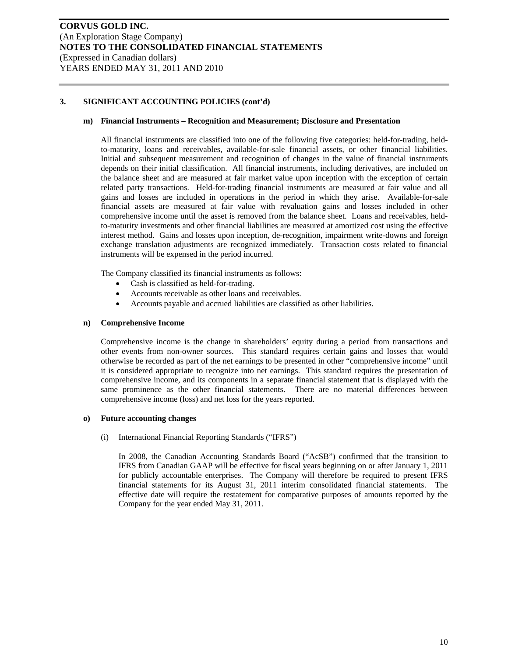#### **m) Financial Instruments – Recognition and Measurement; Disclosure and Presentation**

All financial instruments are classified into one of the following five categories: held-for-trading, heldto-maturity, loans and receivables, available-for-sale financial assets, or other financial liabilities. Initial and subsequent measurement and recognition of changes in the value of financial instruments depends on their initial classification. All financial instruments, including derivatives, are included on the balance sheet and are measured at fair market value upon inception with the exception of certain related party transactions. Held-for-trading financial instruments are measured at fair value and all gains and losses are included in operations in the period in which they arise. Available-for-sale financial assets are measured at fair value with revaluation gains and losses included in other comprehensive income until the asset is removed from the balance sheet. Loans and receivables, heldto-maturity investments and other financial liabilities are measured at amortized cost using the effective interest method. Gains and losses upon inception, de-recognition, impairment write-downs and foreign exchange translation adjustments are recognized immediately. Transaction costs related to financial instruments will be expensed in the period incurred.

The Company classified its financial instruments as follows:

- Cash is classified as held-for-trading.
- Accounts receivable as other loans and receivables.
- Accounts payable and accrued liabilities are classified as other liabilities.

#### **n) Comprehensive Income**

Comprehensive income is the change in shareholders' equity during a period from transactions and other events from non-owner sources. This standard requires certain gains and losses that would otherwise be recorded as part of the net earnings to be presented in other "comprehensive income" until it is considered appropriate to recognize into net earnings. This standard requires the presentation of comprehensive income, and its components in a separate financial statement that is displayed with the same prominence as the other financial statements. There are no material differences between comprehensive income (loss) and net loss for the years reported.

#### **o) Future accounting changes**

(i) International Financial Reporting Standards ("IFRS")

In 2008, the Canadian Accounting Standards Board ("AcSB") confirmed that the transition to IFRS from Canadian GAAP will be effective for fiscal years beginning on or after January 1, 2011 for publicly accountable enterprises. The Company will therefore be required to present IFRS financial statements for its August 31, 2011 interim consolidated financial statements. The effective date will require the restatement for comparative purposes of amounts reported by the Company for the year ended May 31, 2011.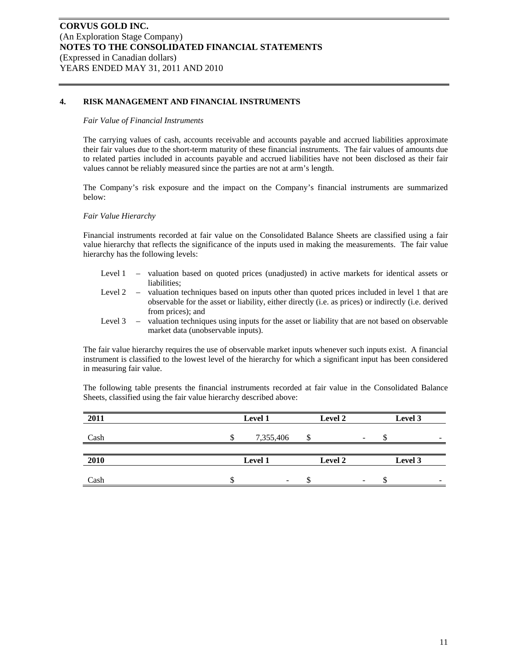# **4. RISK MANAGEMENT AND FINANCIAL INSTRUMENTS**

#### *Fair Value of Financial Instruments*

The carrying values of cash, accounts receivable and accounts payable and accrued liabilities approximate their fair values due to the short-term maturity of these financial instruments. The fair values of amounts due to related parties included in accounts payable and accrued liabilities have not been disclosed as their fair values cannot be reliably measured since the parties are not at arm's length.

The Company's risk exposure and the impact on the Company's financial instruments are summarized below:

#### *Fair Value Hierarchy*

Financial instruments recorded at fair value on the Consolidated Balance Sheets are classified using a fair value hierarchy that reflects the significance of the inputs used in making the measurements. The fair value hierarchy has the following levels:

- Level 1 valuation based on quoted prices (unadjusted) in active markets for identical assets or liabilities;
- Level 2 valuation techniques based on inputs other than quoted prices included in level 1 that are observable for the asset or liability, either directly (i.e. as prices) or indirectly (i.e. derived from prices); and
- Level 3 valuation techniques using inputs for the asset or liability that are not based on observable market data (unobservable inputs).

The fair value hierarchy requires the use of observable market inputs whenever such inputs exist. A financial instrument is classified to the lowest level of the hierarchy for which a significant input has been considered in measuring fair value.

The following table presents the financial instruments recorded at fair value in the Consolidated Balance Sheets, classified using the fair value hierarchy described above:

| 2011 | Level 1   |  | <b>Level 2</b>           | Level 3 |                          |
|------|-----------|--|--------------------------|---------|--------------------------|
| Cash | 7,355,406 |  | $\overline{\phantom{a}}$ |         | $\overline{\phantom{a}}$ |
|      |           |  |                          |         |                          |
| 2010 | Level 1   |  | <b>Level 2</b>           | Level 3 |                          |
|      |           |  |                          |         |                          |
| Cash | -         |  | -                        |         | -                        |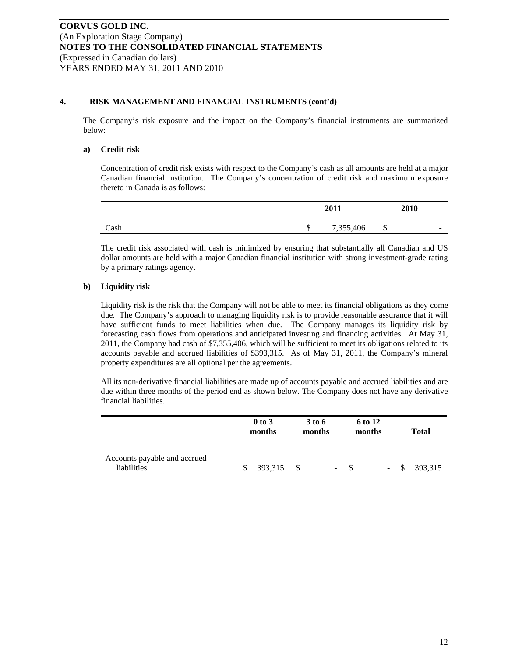# **4. RISK MANAGEMENT AND FINANCIAL INSTRUMENTS (cont'd)**

The Company's risk exposure and the impact on the Company's financial instruments are summarized below:

#### **a) Credit risk**

Concentration of credit risk exists with respect to the Company's cash as all amounts are held at a major Canadian financial institution. The Company's concentration of credit risk and maximum exposure thereto in Canada is as follows:

|      |          | 2011      |     | 2010                     |
|------|----------|-----------|-----|--------------------------|
|      |          |           |     |                          |
| Cash | ₼<br>ιIJ | 7,355,406 | ιIJ | $\overline{\phantom{a}}$ |

The credit risk associated with cash is minimized by ensuring that substantially all Canadian and US dollar amounts are held with a major Canadian financial institution with strong investment-grade rating by a primary ratings agency.

# **b) Liquidity risk**

Liquidity risk is the risk that the Company will not be able to meet its financial obligations as they come due. The Company's approach to managing liquidity risk is to provide reasonable assurance that it will have sufficient funds to meet liabilities when due. The Company manages its liquidity risk by forecasting cash flows from operations and anticipated investing and financing activities. At May 31, 2011, the Company had cash of \$7,355,406, which will be sufficient to meet its obligations related to its accounts payable and accrued liabilities of \$393,315. As of May 31, 2011, the Company's mineral property expenditures are all optional per the agreements.

All its non-derivative financial liabilities are made up of accounts payable and accrued liabilities and are due within three months of the period end as shown below. The Company does not have any derivative financial liabilities.

|                                             | $0$ to $3$<br>months | 3 to 6<br>months |   | 6 to 12<br>months |                          | <b>Total</b> |
|---------------------------------------------|----------------------|------------------|---|-------------------|--------------------------|--------------|
| Accounts payable and accrued<br>liabilities | 393.315              |                  | - |                   | $\overline{\phantom{a}}$ | 393.315      |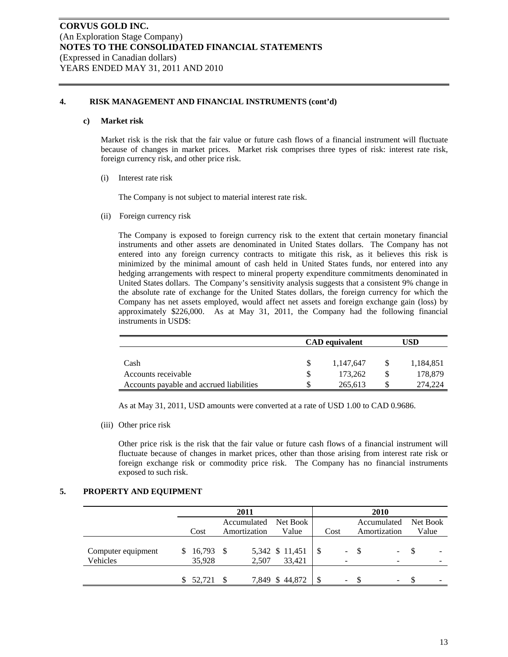# **4. RISK MANAGEMENT AND FINANCIAL INSTRUMENTS (cont'd)**

#### **c) Market risk**

Market risk is the risk that the fair value or future cash flows of a financial instrument will fluctuate because of changes in market prices. Market risk comprises three types of risk: interest rate risk, foreign currency risk, and other price risk.

(i) Interest rate risk

The Company is not subject to material interest rate risk.

(ii) Foreign currency risk

The Company is exposed to foreign currency risk to the extent that certain monetary financial instruments and other assets are denominated in United States dollars. The Company has not entered into any foreign currency contracts to mitigate this risk, as it believes this risk is minimized by the minimal amount of cash held in United States funds, nor entered into any hedging arrangements with respect to mineral property expenditure commitments denominated in United States dollars. The Company's sensitivity analysis suggests that a consistent 9% change in the absolute rate of exchange for the United States dollars, the foreign currency for which the Company has net assets employed, would affect net assets and foreign exchange gain (loss) by approximately \$226,000. As at May 31, 2011, the Company had the following financial instruments in USD\$:

|                                          | <b>CAD</b> equivalent |           | USD |           |
|------------------------------------------|-----------------------|-----------|-----|-----------|
|                                          |                       |           |     |           |
| Cash                                     |                       | 1.147.647 |     | 1.184.851 |
| Accounts receivable                      |                       | 173.262   |     | 178,879   |
| Accounts payable and accrued liabilities |                       | 265,613   |     | 274.224   |

As at May 31, 2011, USD amounts were converted at a rate of USD 1.00 to CAD 0.9686.

(iii) Other price risk

Other price risk is the risk that the fair value or future cash flows of a financial instrument will fluctuate because of changes in market prices, other than those arising from interest rate risk or foreign exchange risk or commodity price risk. The Company has no financial instruments exposed to such risk.

#### **5. PROPERTY AND EQUIPMENT**

|                                |                             | 2011         |                           |      |    | 2010         |                          |          |  |
|--------------------------------|-----------------------------|--------------|---------------------------|------|----|--------------|--------------------------|----------|--|
|                                |                             | Accumulated  | Net Book                  |      |    | Accumulated  |                          | Net Book |  |
|                                | Cost                        | Amortization | Value                     | Cost |    | Amortization |                          | Value    |  |
| Computer equipment<br>Vehicles | $16,793$ \$<br>S.<br>35,928 | 2,507        | 5,342 \$ 11,451<br>33.421 | -S   | Ξ. |              | -<br>$\qquad \qquad$     |          |  |
|                                |                             |              |                           |      |    |              |                          |          |  |
|                                | 52.721<br>S                 |              | 7,849 \$44,872            | - \$ | ۰  |              | $\overline{\phantom{a}}$ |          |  |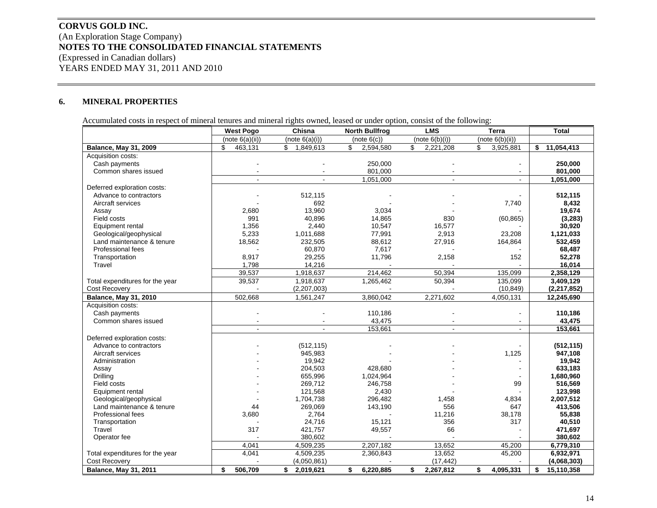# **CORVUS GOLD INC.** (An Exploration Stage Company) **NOTES TO THE CONSOLIDATED FINANCIAL STATEMENTS**  (Expressed in Canadian dollars) YEARS ENDED MAY 31, 2011 AND 2010

#### **6.MINERAL PROPERTIES**

Accumulated costs in respect of mineral tenures and mineral rights owned, leased or under option, consist of the following:

|                                 | <b>West Pogo</b> | Chisna          | <b>North Bullfrog</b> | <b>LMS</b>      | <b>Terra</b>    | <b>Total</b>     |
|---------------------------------|------------------|-----------------|-----------------------|-----------------|-----------------|------------------|
|                                 | (note 6(a)(ii))  | (note 6(a)(i))  | (note 6(c))           | (note 6(b)(i))  | (note 6(b)(ii)) |                  |
| <b>Balance, May 31, 2009</b>    | \$.<br>463,131   | \$<br>1,849,613 | \$<br>2,594,580       | \$<br>2,221,208 | 3,925,881<br>\$ | 11,054,413<br>\$ |
| Acquisition costs:              |                  |                 |                       |                 |                 |                  |
| Cash payments                   |                  |                 | 250,000               |                 |                 | 250,000          |
| Common shares issued            |                  |                 | 801,000               |                 |                 | 801.000          |
|                                 |                  |                 | 1,051,000             |                 |                 | 1,051,000        |
| Deferred exploration costs:     |                  |                 |                       |                 |                 |                  |
| Advance to contractors          |                  | 512,115         |                       |                 |                 | 512,115          |
| Aircraft services               |                  | 692             |                       |                 | 7,740           | 8,432            |
| Assay                           | 2,680            | 13,960          | 3,034                 |                 |                 | 19,674           |
| Field costs                     | 991              | 40,896          | 14,865                | 830             | (60, 865)       | (3, 283)         |
| Equipment rental                | 1,356            | 2,440           | 10,547                | 16,577          |                 | 30,920           |
| Geological/geophysical          | 5,233            | 1,011,688       | 77,991                | 2,913           | 23,208          | 1,121,033        |
| Land maintenance & tenure       | 18,562           | 232,505         | 88,612                | 27,916          | 164,864         | 532,459          |
| Professional fees               |                  | 60,870          | 7,617                 |                 |                 | 68,487           |
| Transportation                  | 8,917            | 29,255          | 11,796                | 2,158           | 152             | 52,278           |
| Travel                          | 1,798            | 14,216          |                       |                 |                 | 16,014           |
|                                 | 39,537           | 1,918,637       | 214,462               | 50,394          | 135,099         | 2,358,129        |
| Total expenditures for the year | 39,537           | 1,918,637       | 1,265,462             | 50,394          | 135,099         | 3,409,129        |
| <b>Cost Recovery</b>            |                  | (2,207,003)     |                       |                 | (10, 849)       | (2, 217, 852)    |
| Balance, May 31, 2010           | 502,668          | 1,561,247       | 3,860,042             | 2,271,602       | 4,050,131       | 12,245,690       |
| Acquisition costs:              |                  |                 |                       |                 |                 |                  |
| Cash payments                   |                  |                 | 110,186               |                 |                 | 110,186          |
| Common shares issued            |                  |                 | 43,475                |                 |                 | 43,475           |
|                                 | $\sim$           | $\mathbf{r}$    | 153,661               | $\mathbf{r}$    | $\mathbf{r}$    | 153,661          |
| Deferred exploration costs:     |                  |                 |                       |                 |                 |                  |
| Advance to contractors          |                  | (512, 115)      |                       |                 |                 | (512, 115)       |
| Aircraft services               |                  | 945,983         |                       |                 | 1,125           | 947,108          |
| Administration                  |                  | 19,942          |                       |                 |                 | 19,942           |
| Assay                           |                  | 204,503         | 428,680               |                 |                 | 633,183          |
| Drilling                        |                  | 655,996         | 1,024,964             |                 |                 | 1,680,960        |
| Field costs                     |                  | 269,712         | 246,758               |                 | 99              | 516,569          |
| Equipment rental                |                  | 121,568         | 2,430                 |                 |                 | 123,998          |
| Geological/geophysical          |                  | 1,704,738       | 296,482               | 1,458           | 4,834           | 2,007,512        |
| Land maintenance & tenure       | 44               | 269,069         | 143,190               | 556             | 647             | 413,506          |
| Professional fees               | 3,680            | 2,764           |                       | 11,216          | 38,178          | 55,838           |
| Transportation                  |                  | 24,716          | 15,121                | 356             | 317             | 40,510           |
| Travel                          | 317              | 421,757         | 49,557                | 66              |                 | 471,697          |
| Operator fee                    |                  | 380,602         |                       |                 |                 | 380,602          |
|                                 | 4,041            | 4,509,235       | 2,207,182             | 13,652          | 45,200          | 6,779,310        |
| Total expenditures for the year | 4,041            | 4,509,235       | 2,360,843             | 13,652          | 45,200          | 6,932,971        |
| <b>Cost Recovery</b>            |                  | (4,050,861)     |                       | (17, 442)       |                 | (4,068,303)      |
| <b>Balance, May 31, 2011</b>    | \$<br>506,709    | \$2,019,621     | \$<br>6,220,885       | \$<br>2,267,812 | \$<br>4,095,331 | \$<br>15,110,358 |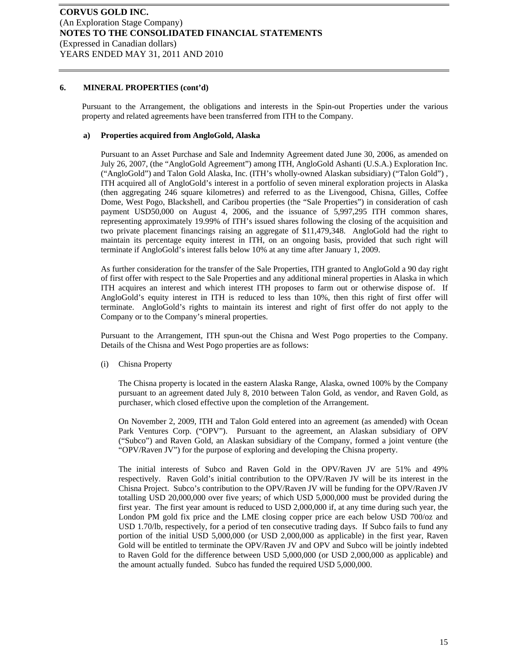Pursuant to the Arrangement, the obligations and interests in the Spin-out Properties under the various property and related agreements have been transferred from ITH to the Company.

#### **a) Properties acquired from AngloGold, Alaska**

Pursuant to an Asset Purchase and Sale and Indemnity Agreement dated June 30, 2006, as amended on July 26, 2007, (the "AngloGold Agreement") among ITH, AngloGold Ashanti (U.S.A.) Exploration Inc. ("AngloGold") and Talon Gold Alaska, Inc. (ITH's wholly-owned Alaskan subsidiary) ("Talon Gold") , ITH acquired all of AngloGold's interest in a portfolio of seven mineral exploration projects in Alaska (then aggregating 246 square kilometres) and referred to as the Livengood, Chisna, Gilles, Coffee Dome, West Pogo, Blackshell, and Caribou properties (the "Sale Properties") in consideration of cash payment USD50,000 on August 4, 2006, and the issuance of 5,997,295 ITH common shares, representing approximately 19.99% of ITH's issued shares following the closing of the acquisition and two private placement financings raising an aggregate of \$11,479,348. AngloGold had the right to maintain its percentage equity interest in ITH, on an ongoing basis, provided that such right will terminate if AngloGold's interest falls below 10% at any time after January 1, 2009.

As further consideration for the transfer of the Sale Properties, ITH granted to AngloGold a 90 day right of first offer with respect to the Sale Properties and any additional mineral properties in Alaska in which ITH acquires an interest and which interest ITH proposes to farm out or otherwise dispose of. If AngloGold's equity interest in ITH is reduced to less than 10%, then this right of first offer will terminate. AngloGold's rights to maintain its interest and right of first offer do not apply to the Company or to the Company's mineral properties.

Pursuant to the Arrangement, ITH spun-out the Chisna and West Pogo properties to the Company. Details of the Chisna and West Pogo properties are as follows:

(i) Chisna Property

The Chisna property is located in the eastern Alaska Range, Alaska, owned 100% by the Company pursuant to an agreement dated July 8, 2010 between Talon Gold, as vendor, and Raven Gold, as purchaser, which closed effective upon the completion of the Arrangement.

On November 2, 2009, ITH and Talon Gold entered into an agreement (as amended) with Ocean Park Ventures Corp. ("OPV"). Pursuant to the agreement, an Alaskan subsidiary of OPV ("Subco") and Raven Gold, an Alaskan subsidiary of the Company, formed a joint venture (the "OPV/Raven JV") for the purpose of exploring and developing the Chisna property.

The initial interests of Subco and Raven Gold in the OPV/Raven JV are 51% and 49% respectively. Raven Gold's initial contribution to the OPV/Raven JV will be its interest in the Chisna Project. Subco's contribution to the OPV/Raven JV will be funding for the OPV/Raven JV totalling USD 20,000,000 over five years; of which USD 5,000,000 must be provided during the first year. The first year amount is reduced to USD 2,000,000 if, at any time during such year, the London PM gold fix price and the LME closing copper price are each below USD 700/oz and USD 1.70/lb, respectively, for a period of ten consecutive trading days. If Subco fails to fund any portion of the initial USD 5,000,000 (or USD 2,000,000 as applicable) in the first year, Raven Gold will be entitled to terminate the OPV/Raven JV and OPV and Subco will be jointly indebted to Raven Gold for the difference between USD 5,000,000 (or USD 2,000,000 as applicable) and the amount actually funded. Subco has funded the required USD 5,000,000.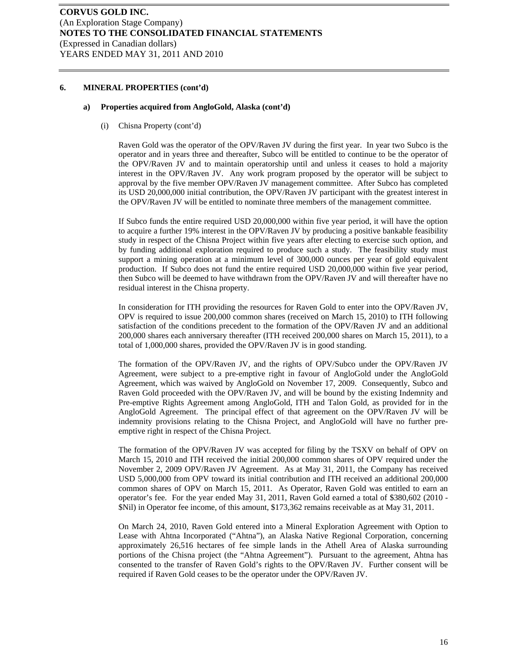#### **a) Properties acquired from AngloGold, Alaska (cont'd)**

(i) Chisna Property (cont'd)

Raven Gold was the operator of the OPV/Raven JV during the first year. In year two Subco is the operator and in years three and thereafter, Subco will be entitled to continue to be the operator of the OPV/Raven JV and to maintain operatorship until and unless it ceases to hold a majority interest in the OPV/Raven JV. Any work program proposed by the operator will be subject to approval by the five member OPV/Raven JV management committee. After Subco has completed its USD 20,000,000 initial contribution, the OPV/Raven JV participant with the greatest interest in the OPV/Raven JV will be entitled to nominate three members of the management committee.

If Subco funds the entire required USD 20,000,000 within five year period, it will have the option to acquire a further 19% interest in the OPV/Raven JV by producing a positive bankable feasibility study in respect of the Chisna Project within five years after electing to exercise such option, and by funding additional exploration required to produce such a study. The feasibility study must support a mining operation at a minimum level of 300,000 ounces per year of gold equivalent production. If Subco does not fund the entire required USD 20,000,000 within five year period, then Subco will be deemed to have withdrawn from the OPV/Raven JV and will thereafter have no residual interest in the Chisna property.

In consideration for ITH providing the resources for Raven Gold to enter into the OPV/Raven JV, OPV is required to issue 200,000 common shares (received on March 15, 2010) to ITH following satisfaction of the conditions precedent to the formation of the OPV/Raven JV and an additional 200,000 shares each anniversary thereafter (ITH received 200,000 shares on March 15, 2011), to a total of 1,000,000 shares, provided the OPV/Raven JV is in good standing.

The formation of the OPV/Raven JV, and the rights of OPV/Subco under the OPV/Raven JV Agreement, were subject to a pre-emptive right in favour of AngloGold under the AngloGold Agreement, which was waived by AngloGold on November 17, 2009. Consequently, Subco and Raven Gold proceeded with the OPV/Raven JV, and will be bound by the existing Indemnity and Pre-emptive Rights Agreement among AngloGold, ITH and Talon Gold, as provided for in the AngloGold Agreement. The principal effect of that agreement on the OPV/Raven JV will be indemnity provisions relating to the Chisna Project, and AngloGold will have no further preemptive right in respect of the Chisna Project.

The formation of the OPV/Raven JV was accepted for filing by the TSXV on behalf of OPV on March 15, 2010 and ITH received the initial 200,000 common shares of OPV required under the November 2, 2009 OPV/Raven JV Agreement. As at May 31, 2011, the Company has received USD 5,000,000 from OPV toward its initial contribution and ITH received an additional 200,000 common shares of OPV on March 15, 2011. As Operator, Raven Gold was entitled to earn an operator's fee. For the year ended May 31, 2011, Raven Gold earned a total of \$380,602 (2010 - \$Nil) in Operator fee income, of this amount, \$173,362 remains receivable as at May 31, 2011.

On March 24, 2010, Raven Gold entered into a Mineral Exploration Agreement with Option to Lease with Ahtna Incorporated ("Ahtna"), an Alaska Native Regional Corporation, concerning approximately 26,516 hectares of fee simple lands in the Athell Area of Alaska surrounding portions of the Chisna project (the "Ahtna Agreement"). Pursuant to the agreement, Ahtna has consented to the transfer of Raven Gold's rights to the OPV/Raven JV. Further consent will be required if Raven Gold ceases to be the operator under the OPV/Raven JV.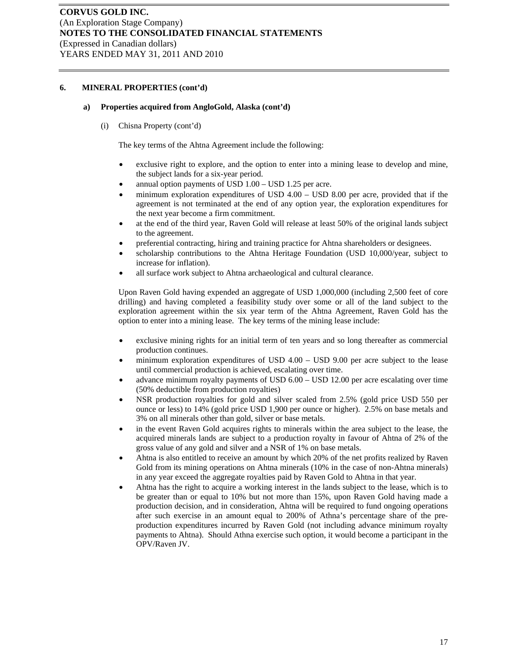#### **a) Properties acquired from AngloGold, Alaska (cont'd)**

(i) Chisna Property (cont'd)

The key terms of the Ahtna Agreement include the following:

- exclusive right to explore, and the option to enter into a mining lease to develop and mine, the subject lands for a six-year period.
- annual option payments of USD 1.00 USD 1.25 per acre.
- minimum exploration expenditures of USD  $4.00 -$  USD  $8.00$  per acre, provided that if the agreement is not terminated at the end of any option year, the exploration expenditures for the next year become a firm commitment.
- at the end of the third year, Raven Gold will release at least 50% of the original lands subject to the agreement.
- preferential contracting, hiring and training practice for Ahtna shareholders or designees.
- scholarship contributions to the Ahtna Heritage Foundation (USD 10,000/year, subject to increase for inflation).
- all surface work subject to Ahtna archaeological and cultural clearance.

Upon Raven Gold having expended an aggregate of USD 1,000,000 (including 2,500 feet of core drilling) and having completed a feasibility study over some or all of the land subject to the exploration agreement within the six year term of the Ahtna Agreement, Raven Gold has the option to enter into a mining lease. The key terms of the mining lease include:

- exclusive mining rights for an initial term of ten years and so long thereafter as commercial production continues.
- minimum exploration expenditures of USD  $4.00 -$  USD  $9.00$  per acre subject to the lease until commercial production is achieved, escalating over time.
- advance minimum royalty payments of USD 6.00 USD 12.00 per acre escalating over time (50% deductible from production royalties)
- NSR production royalties for gold and silver scaled from 2.5% (gold price USD 550 per ounce or less) to 14% (gold price USD 1,900 per ounce or higher). 2.5% on base metals and 3% on all minerals other than gold, silver or base metals.
- in the event Raven Gold acquires rights to minerals within the area subject to the lease, the acquired minerals lands are subject to a production royalty in favour of Ahtna of 2% of the gross value of any gold and silver and a NSR of 1% on base metals.
- Ahtna is also entitled to receive an amount by which 20% of the net profits realized by Raven Gold from its mining operations on Ahtna minerals (10% in the case of non-Ahtna minerals) in any year exceed the aggregate royalties paid by Raven Gold to Ahtna in that year.
- Ahtna has the right to acquire a working interest in the lands subject to the lease, which is to be greater than or equal to 10% but not more than 15%, upon Raven Gold having made a production decision, and in consideration, Ahtna will be required to fund ongoing operations after such exercise in an amount equal to 200% of Athna's percentage share of the preproduction expenditures incurred by Raven Gold (not including advance minimum royalty payments to Ahtna). Should Athna exercise such option, it would become a participant in the OPV/Raven JV.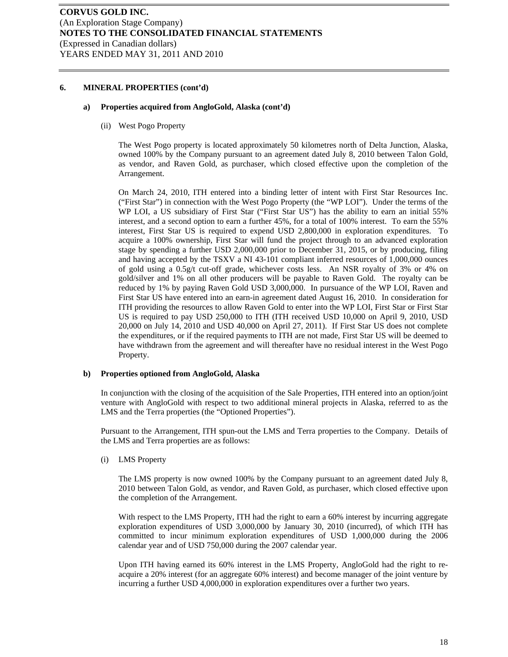#### **a) Properties acquired from AngloGold, Alaska (cont'd)**

(ii) West Pogo Property

The West Pogo property is located approximately 50 kilometres north of Delta Junction, Alaska, owned 100% by the Company pursuant to an agreement dated July 8, 2010 between Talon Gold, as vendor, and Raven Gold, as purchaser, which closed effective upon the completion of the Arrangement.

On March 24, 2010, ITH entered into a binding letter of intent with First Star Resources Inc. ("First Star") in connection with the West Pogo Property (the "WP LOI"). Under the terms of the WP LOI, a US subsidiary of First Star ("First Star US") has the ability to earn an initial 55% interest, and a second option to earn a further 45%, for a total of 100% interest. To earn the 55% interest, First Star US is required to expend USD 2,800,000 in exploration expenditures. To acquire a 100% ownership, First Star will fund the project through to an advanced exploration stage by spending a further USD 2,000,000 prior to December 31, 2015, or by producing, filing and having accepted by the TSXV a NI 43-101 compliant inferred resources of 1,000,000 ounces of gold using a 0.5g/t cut-off grade, whichever costs less. An NSR royalty of 3% or 4% on gold/silver and 1% on all other producers will be payable to Raven Gold. The royalty can be reduced by 1% by paying Raven Gold USD 3,000,000. In pursuance of the WP LOI, Raven and First Star US have entered into an earn-in agreement dated August 16, 2010. In consideration for ITH providing the resources to allow Raven Gold to enter into the WP LOI, First Star or First Star US is required to pay USD 250,000 to ITH (ITH received USD 10,000 on April 9, 2010, USD 20,000 on July 14, 2010 and USD 40,000 on April 27, 2011). If First Star US does not complete the expenditures, or if the required payments to ITH are not made, First Star US will be deemed to have withdrawn from the agreement and will thereafter have no residual interest in the West Pogo Property.

#### **b) Properties optioned from AngloGold, Alaska**

In conjunction with the closing of the acquisition of the Sale Properties, ITH entered into an option/joint venture with AngloGold with respect to two additional mineral projects in Alaska, referred to as the LMS and the Terra properties (the "Optioned Properties").

Pursuant to the Arrangement, ITH spun-out the LMS and Terra properties to the Company. Details of the LMS and Terra properties are as follows:

(i) LMS Property

The LMS property is now owned 100% by the Company pursuant to an agreement dated July 8, 2010 between Talon Gold, as vendor, and Raven Gold, as purchaser, which closed effective upon the completion of the Arrangement.

With respect to the LMS Property, ITH had the right to earn a 60% interest by incurring aggregate exploration expenditures of USD 3,000,000 by January 30, 2010 (incurred), of which ITH has committed to incur minimum exploration expenditures of USD 1,000,000 during the 2006 calendar year and of USD 750,000 during the 2007 calendar year.

Upon ITH having earned its 60% interest in the LMS Property, AngloGold had the right to reacquire a 20% interest (for an aggregate 60% interest) and become manager of the joint venture by incurring a further USD 4,000,000 in exploration expenditures over a further two years.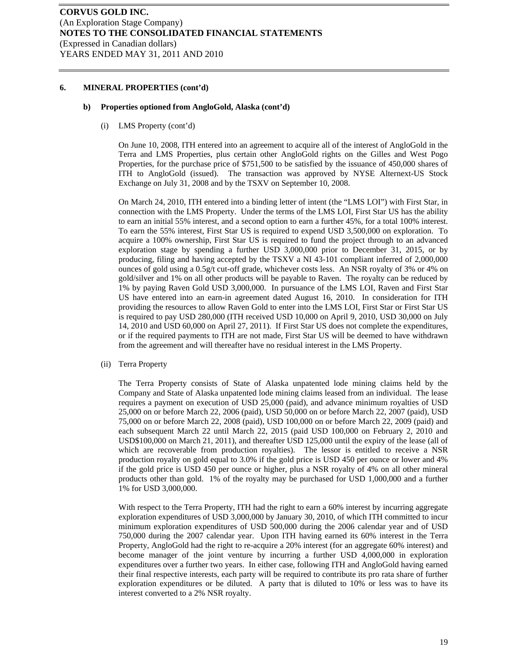#### **b) Properties optioned from AngloGold, Alaska (cont'd)**

(i) LMS Property (cont'd)

On June 10, 2008, ITH entered into an agreement to acquire all of the interest of AngloGold in the Terra and LMS Properties, plus certain other AngloGold rights on the Gilles and West Pogo Properties, for the purchase price of \$751,500 to be satisfied by the issuance of 450,000 shares of ITH to AngloGold (issued). The transaction was approved by NYSE Alternext-US Stock Exchange on July 31, 2008 and by the TSXV on September 10, 2008.

On March 24, 2010, ITH entered into a binding letter of intent (the "LMS LOI") with First Star, in connection with the LMS Property. Under the terms of the LMS LOI, First Star US has the ability to earn an initial 55% interest, and a second option to earn a further 45%, for a total 100% interest. To earn the 55% interest, First Star US is required to expend USD 3,500,000 on exploration. To acquire a 100% ownership, First Star US is required to fund the project through to an advanced exploration stage by spending a further USD 3,000,000 prior to December 31, 2015, or by producing, filing and having accepted by the TSXV a NI 43-101 compliant inferred of 2,000,000 ounces of gold using a 0.5g/t cut-off grade, whichever costs less. An NSR royalty of 3% or 4% on gold/silver and 1% on all other products will be payable to Raven. The royalty can be reduced by 1% by paying Raven Gold USD 3,000,000. In pursuance of the LMS LOI, Raven and First Star US have entered into an earn-in agreement dated August 16, 2010. In consideration for ITH providing the resources to allow Raven Gold to enter into the LMS LOI, First Star or First Star US is required to pay USD 280,000 (ITH received USD 10,000 on April 9, 2010, USD 30,000 on July 14, 2010 and USD 60,000 on April 27, 2011). If First Star US does not complete the expenditures, or if the required payments to ITH are not made, First Star US will be deemed to have withdrawn from the agreement and will thereafter have no residual interest in the LMS Property.

(ii) Terra Property

The Terra Property consists of State of Alaska unpatented lode mining claims held by the Company and State of Alaska unpatented lode mining claims leased from an individual. The lease requires a payment on execution of USD 25,000 (paid), and advance minimum royalties of USD 25,000 on or before March 22, 2006 (paid), USD 50,000 on or before March 22, 2007 (paid), USD 75,000 on or before March 22, 2008 (paid), USD 100,000 on or before March 22, 2009 (paid) and each subsequent March 22 until March 22, 2015 (paid USD 100,000 on February 2, 2010 and USD\$100,000 on March 21, 2011), and thereafter USD 125,000 until the expiry of the lease (all of which are recoverable from production royalties). The lessor is entitled to receive a NSR production royalty on gold equal to 3.0% if the gold price is USD 450 per ounce or lower and 4% if the gold price is USD 450 per ounce or higher, plus a NSR royalty of 4% on all other mineral products other than gold. 1% of the royalty may be purchased for USD 1,000,000 and a further 1% for USD 3,000,000.

With respect to the Terra Property, ITH had the right to earn a 60% interest by incurring aggregate exploration expenditures of USD 3,000,000 by January 30, 2010, of which ITH committed to incur minimum exploration expenditures of USD 500,000 during the 2006 calendar year and of USD 750,000 during the 2007 calendar year. Upon ITH having earned its 60% interest in the Terra Property, AngloGold had the right to re-acquire a 20% interest (for an aggregate 60% interest) and become manager of the joint venture by incurring a further USD 4,000,000 in exploration expenditures over a further two years. In either case, following ITH and AngloGold having earned their final respective interests, each party will be required to contribute its pro rata share of further exploration expenditures or be diluted. A party that is diluted to 10% or less was to have its interest converted to a 2% NSR royalty.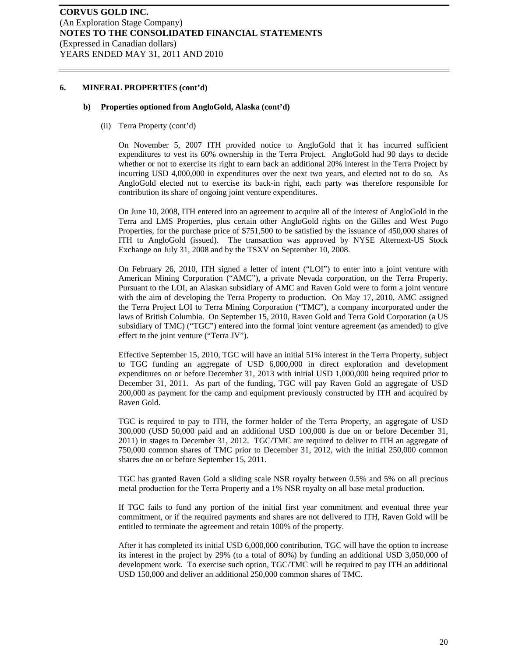#### **b) Properties optioned from AngloGold, Alaska (cont'd)**

(ii) Terra Property (cont'd)

On November 5, 2007 ITH provided notice to AngloGold that it has incurred sufficient expenditures to vest its 60% ownership in the Terra Project. AngloGold had 90 days to decide whether or not to exercise its right to earn back an additional 20% interest in the Terra Project by incurring USD 4,000,000 in expenditures over the next two years, and elected not to do so. As AngloGold elected not to exercise its back-in right, each party was therefore responsible for contribution its share of ongoing joint venture expenditures.

On June 10, 2008, ITH entered into an agreement to acquire all of the interest of AngloGold in the Terra and LMS Properties, plus certain other AngloGold rights on the Gilles and West Pogo Properties, for the purchase price of \$751,500 to be satisfied by the issuance of 450,000 shares of ITH to AngloGold (issued). The transaction was approved by NYSE Alternext-US Stock Exchange on July 31, 2008 and by the TSXV on September 10, 2008.

On February 26, 2010, ITH signed a letter of intent ("LOI") to enter into a joint venture with American Mining Corporation ("AMC"), a private Nevada corporation, on the Terra Property. Pursuant to the LOI, an Alaskan subsidiary of AMC and Raven Gold were to form a joint venture with the aim of developing the Terra Property to production. On May 17, 2010, AMC assigned the Terra Project LOI to Terra Mining Corporation ("TMC"), a company incorporated under the laws of British Columbia. On September 15, 2010, Raven Gold and Terra Gold Corporation (a US subsidiary of TMC) ("TGC") entered into the formal joint venture agreement (as amended) to give effect to the joint venture ("Terra JV").

Effective September 15, 2010, TGC will have an initial 51% interest in the Terra Property, subject to TGC funding an aggregate of USD 6,000,000 in direct exploration and development expenditures on or before December 31, 2013 with initial USD 1,000,000 being required prior to December 31, 2011. As part of the funding, TGC will pay Raven Gold an aggregate of USD 200,000 as payment for the camp and equipment previously constructed by ITH and acquired by Raven Gold.

TGC is required to pay to ITH, the former holder of the Terra Property, an aggregate of USD 300,000 (USD 50,000 paid and an additional USD 100,000 is due on or before December 31, 2011) in stages to December 31, 2012. TGC/TMC are required to deliver to ITH an aggregate of 750,000 common shares of TMC prior to December 31, 2012, with the initial 250,000 common shares due on or before September 15, 2011.

TGC has granted Raven Gold a sliding scale NSR royalty between 0.5% and 5% on all precious metal production for the Terra Property and a 1% NSR royalty on all base metal production.

If TGC fails to fund any portion of the initial first year commitment and eventual three year commitment, or if the required payments and shares are not delivered to ITH, Raven Gold will be entitled to terminate the agreement and retain 100% of the property.

After it has completed its initial USD 6,000,000 contribution, TGC will have the option to increase its interest in the project by 29% (to a total of 80%) by funding an additional USD 3,050,000 of development work. To exercise such option, TGC/TMC will be required to pay ITH an additional USD 150,000 and deliver an additional 250,000 common shares of TMC.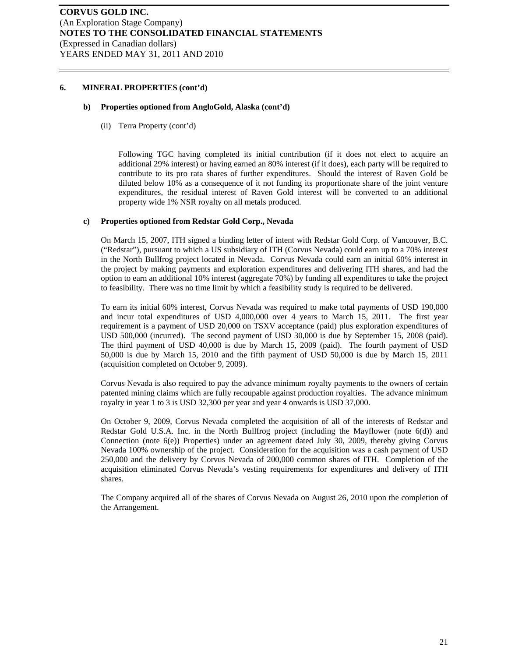#### **b) Properties optioned from AngloGold, Alaska (cont'd)**

(ii) Terra Property (cont'd)

Following TGC having completed its initial contribution (if it does not elect to acquire an additional 29% interest) or having earned an 80% interest (if it does), each party will be required to contribute to its pro rata shares of further expenditures. Should the interest of Raven Gold be diluted below 10% as a consequence of it not funding its proportionate share of the joint venture expenditures, the residual interest of Raven Gold interest will be converted to an additional property wide 1% NSR royalty on all metals produced.

#### **c) Properties optioned from Redstar Gold Corp., Nevada**

On March 15, 2007, ITH signed a binding letter of intent with Redstar Gold Corp. of Vancouver, B.C. ("Redstar"), pursuant to which a US subsidiary of ITH (Corvus Nevada) could earn up to a 70% interest in the North Bullfrog project located in Nevada. Corvus Nevada could earn an initial 60% interest in the project by making payments and exploration expenditures and delivering ITH shares, and had the option to earn an additional 10% interest (aggregate 70%) by funding all expenditures to take the project to feasibility. There was no time limit by which a feasibility study is required to be delivered.

To earn its initial 60% interest, Corvus Nevada was required to make total payments of USD 190,000 and incur total expenditures of USD 4,000,000 over 4 years to March 15, 2011. The first year requirement is a payment of USD 20,000 on TSXV acceptance (paid) plus exploration expenditures of USD 500,000 (incurred). The second payment of USD 30,000 is due by September 15, 2008 (paid). The third payment of USD 40,000 is due by March 15, 2009 (paid). The fourth payment of USD 50,000 is due by March 15, 2010 and the fifth payment of USD 50,000 is due by March 15, 2011 (acquisition completed on October 9, 2009).

Corvus Nevada is also required to pay the advance minimum royalty payments to the owners of certain patented mining claims which are fully recoupable against production royalties. The advance minimum royalty in year 1 to 3 is USD 32,300 per year and year 4 onwards is USD 37,000.

On October 9, 2009, Corvus Nevada completed the acquisition of all of the interests of Redstar and Redstar Gold U.S.A. Inc. in the North Bullfrog project (including the Mayflower (note 6(d)) and Connection (note 6(e)) Properties) under an agreement dated July 30, 2009, thereby giving Corvus Nevada 100% ownership of the project. Consideration for the acquisition was a cash payment of USD 250,000 and the delivery by Corvus Nevada of 200,000 common shares of ITH. Completion of the acquisition eliminated Corvus Nevada's vesting requirements for expenditures and delivery of ITH shares.

The Company acquired all of the shares of Corvus Nevada on August 26, 2010 upon the completion of the Arrangement.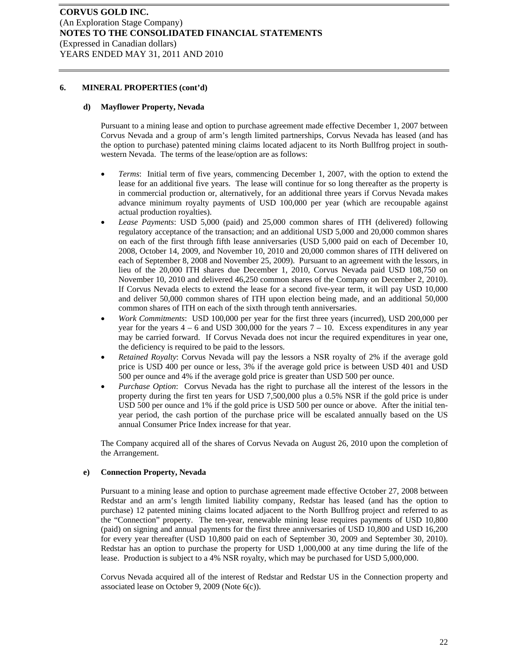#### **d) Mayflower Property, Nevada**

Pursuant to a mining lease and option to purchase agreement made effective December 1, 2007 between Corvus Nevada and a group of arm's length limited partnerships, Corvus Nevada has leased (and has the option to purchase) patented mining claims located adjacent to its North Bullfrog project in southwestern Nevada. The terms of the lease/option are as follows:

- *Terms*: Initial term of five years, commencing December 1, 2007, with the option to extend the lease for an additional five years. The lease will continue for so long thereafter as the property is in commercial production or, alternatively, for an additional three years if Corvus Nevada makes advance minimum royalty payments of USD 100,000 per year (which are recoupable against actual production royalties).
- *Lease Payments*: USD 5,000 (paid) and 25,000 common shares of ITH (delivered) following regulatory acceptance of the transaction; and an additional USD 5,000 and 20,000 common shares on each of the first through fifth lease anniversaries (USD 5,000 paid on each of December 10, 2008, October 14, 2009, and November 10, 2010 and 20,000 common shares of ITH delivered on each of September 8, 2008 and November 25, 2009). Pursuant to an agreement with the lessors, in lieu of the 20,000 ITH shares due December 1, 2010, Corvus Nevada paid USD 108,750 on November 10, 2010 and delivered 46,250 common shares of the Company on December 2, 2010). If Corvus Nevada elects to extend the lease for a second five-year term, it will pay USD 10,000 and deliver 50,000 common shares of ITH upon election being made, and an additional 50,000 common shares of ITH on each of the sixth through tenth anniversaries.
- *Work Commitments*: USD 100,000 per year for the first three years (incurred), USD 200,000 per year for the years  $4 - 6$  and USD 300,000 for the years  $7 - 10$ . Excess expenditures in any year may be carried forward. If Corvus Nevada does not incur the required expenditures in year one, the deficiency is required to be paid to the lessors.
- *Retained Royalty*: Corvus Nevada will pay the lessors a NSR royalty of 2% if the average gold price is USD 400 per ounce or less, 3% if the average gold price is between USD 401 and USD 500 per ounce and 4% if the average gold price is greater than USD 500 per ounce.
- *Purchase Option*: Corvus Nevada has the right to purchase all the interest of the lessors in the property during the first ten years for USD 7,500,000 plus a 0.5% NSR if the gold price is under USD 500 per ounce and 1% if the gold price is USD 500 per ounce or above. After the initial tenyear period, the cash portion of the purchase price will be escalated annually based on the US annual Consumer Price Index increase for that year.

The Company acquired all of the shares of Corvus Nevada on August 26, 2010 upon the completion of the Arrangement.

#### **e) Connection Property, Nevada**

Pursuant to a mining lease and option to purchase agreement made effective October 27, 2008 between Redstar and an arm's length limited liability company, Redstar has leased (and has the option to purchase) 12 patented mining claims located adjacent to the North Bullfrog project and referred to as the "Connection" property. The ten-year, renewable mining lease requires payments of USD 10,800 (paid) on signing and annual payments for the first three anniversaries of USD 10,800 and USD 16,200 for every year thereafter (USD 10,800 paid on each of September 30, 2009 and September 30, 2010). Redstar has an option to purchase the property for USD 1,000,000 at any time during the life of the lease. Production is subject to a 4% NSR royalty, which may be purchased for USD 5,000,000.

Corvus Nevada acquired all of the interest of Redstar and Redstar US in the Connection property and associated lease on October 9, 2009 (Note 6(c)).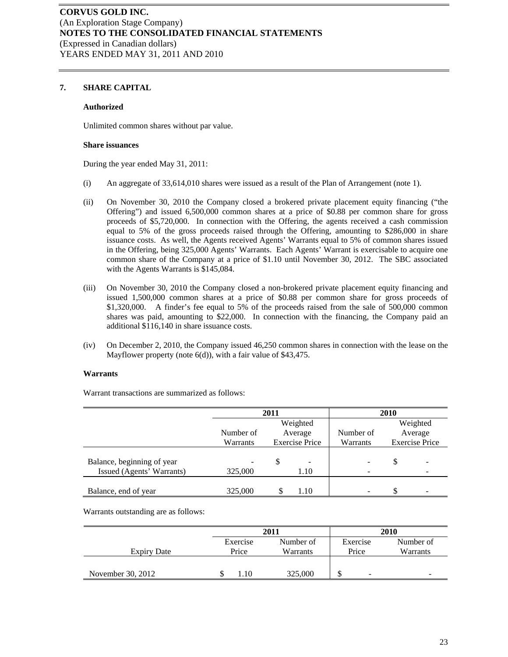# **7. SHARE CAPITAL**

#### **Authorized**

Unlimited common shares without par value.

#### **Share issuances**

During the year ended May 31, 2011:

- (i) An aggregate of 33,614,010 shares were issued as a result of the Plan of Arrangement (note 1).
- (ii) On November 30, 2010 the Company closed a brokered private placement equity financing ("the Offering") and issued 6,500,000 common shares at a price of \$0.88 per common share for gross proceeds of \$5,720,000. In connection with the Offering, the agents received a cash commission equal to 5% of the gross proceeds raised through the Offering, amounting to \$286,000 in share issuance costs. As well, the Agents received Agents' Warrants equal to 5% of common shares issued in the Offering, being 325,000 Agents' Warrants. Each Agents' Warrant is exercisable to acquire one common share of the Company at a price of \$1.10 until November 30, 2012. The SBC associated with the Agents Warrants is \$145,084.
- (iii) On November 30, 2010 the Company closed a non-brokered private placement equity financing and issued 1,500,000 common shares at a price of \$0.88 per common share for gross proceeds of \$1,320,000. A finder's fee equal to 5% of the proceeds raised from the sale of 500,000 common shares was paid, amounting to \$22,000. In connection with the financing, the Company paid an additional \$116,140 in share issuance costs.
- (iv) On December 2, 2010, the Company issued 46,250 common shares in connection with the lease on the Mayflower property (note 6(d)), with a fair value of \$43,475.

#### **Warrants**

Warrant transactions are summarized as follows:

|                            | 2011      |   |                       | 2010                         |    |                       |
|----------------------------|-----------|---|-----------------------|------------------------------|----|-----------------------|
|                            |           |   | Weighted              |                              |    | Weighted              |
|                            | Number of |   | Average               | Number of                    |    | Average               |
|                            | Warrants  |   | <b>Exercise Price</b> | Warrants                     |    | <b>Exercise Price</b> |
| Balance, beginning of year |           | S | -                     | -                            | \$ |                       |
| Issued (Agents' Warrants)  | 325,000   |   | 1.10                  | $\overline{\phantom{0}}$     |    |                       |
| Balance, end of year       | 325,000   |   | 1.10                  | $\qquad \qquad \blacksquare$ | S  |                       |

Warrants outstanding are as follows:

|                    | 2011     |           |                                | 2010      |
|--------------------|----------|-----------|--------------------------------|-----------|
|                    | Exercise | Number of | Exercise                       | Number of |
| <b>Expiry Date</b> | Price    | Warrants  | Price                          | Warrants  |
|                    |          |           |                                |           |
| November 30, 2012  | $.10 -$  | 325,000   | $\overline{\phantom{a}}$<br>۰D |           |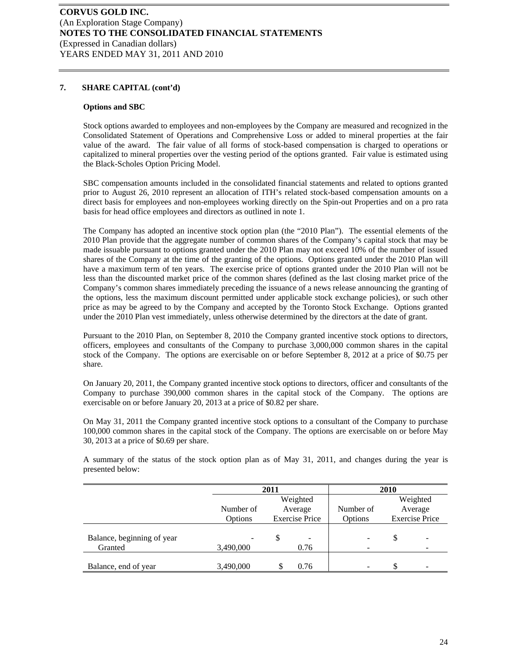### **7. SHARE CAPITAL (cont'd)**

#### **Options and SBC**

Stock options awarded to employees and non-employees by the Company are measured and recognized in the Consolidated Statement of Operations and Comprehensive Loss or added to mineral properties at the fair value of the award. The fair value of all forms of stock-based compensation is charged to operations or capitalized to mineral properties over the vesting period of the options granted. Fair value is estimated using the Black-Scholes Option Pricing Model.

SBC compensation amounts included in the consolidated financial statements and related to options granted prior to August 26, 2010 represent an allocation of ITH's related stock-based compensation amounts on a direct basis for employees and non-employees working directly on the Spin-out Properties and on a pro rata basis for head office employees and directors as outlined in note 1.

The Company has adopted an incentive stock option plan (the "2010 Plan"). The essential elements of the 2010 Plan provide that the aggregate number of common shares of the Company's capital stock that may be made issuable pursuant to options granted under the 2010 Plan may not exceed 10% of the number of issued shares of the Company at the time of the granting of the options. Options granted under the 2010 Plan will have a maximum term of ten years. The exercise price of options granted under the 2010 Plan will not be less than the discounted market price of the common shares (defined as the last closing market price of the Company's common shares immediately preceding the issuance of a news release announcing the granting of the options, less the maximum discount permitted under applicable stock exchange policies), or such other price as may be agreed to by the Company and accepted by the Toronto Stock Exchange. Options granted under the 2010 Plan vest immediately, unless otherwise determined by the directors at the date of grant.

Pursuant to the 2010 Plan, on September 8, 2010 the Company granted incentive stock options to directors, officers, employees and consultants of the Company to purchase 3,000,000 common shares in the capital stock of the Company. The options are exercisable on or before September 8, 2012 at a price of \$0.75 per share.

On January 20, 2011, the Company granted incentive stock options to directors, officer and consultants of the Company to purchase 390,000 common shares in the capital stock of the Company. The options are exercisable on or before January 20, 2013 at a price of \$0.82 per share.

On May 31, 2011 the Company granted incentive stock options to a consultant of the Company to purchase 100,000 common shares in the capital stock of the Company. The options are exercisable on or before May 30, 2013 at a price of \$0.69 per share.

A summary of the status of the stock option plan as of May 31, 2011, and changes during the year is presented below:

|                            | 2011      |   |                       |                              | 2010 |                          |
|----------------------------|-----------|---|-----------------------|------------------------------|------|--------------------------|
|                            |           |   | Weighted              |                              |      | Weighted                 |
|                            | Number of |   | Average               | Number of                    |      | Average                  |
|                            | Options   |   | <b>Exercise Price</b> | Options                      |      | <b>Exercise Price</b>    |
| Balance, beginning of year |           | S | -                     | $\overline{\phantom{a}}$     | \$   |                          |
| Granted                    | 3,490,000 |   | 0.76                  | $\qquad \qquad \blacksquare$ |      |                          |
| Balance, end of year       | 3,490,000 |   | 0.76                  | ۰                            | \$   | $\overline{\phantom{0}}$ |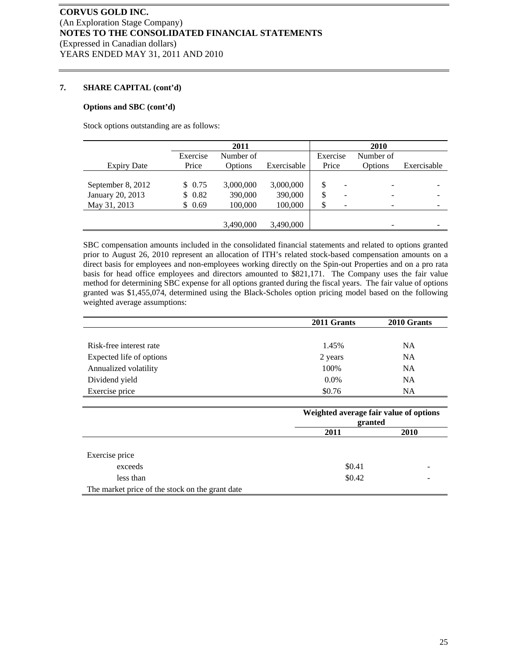# **7. SHARE CAPITAL (cont'd)**

#### **Options and SBC (cont'd)**

Stock options outstanding are as follows:

|                    |          | 2011      |             |          | 2010      |             |
|--------------------|----------|-----------|-------------|----------|-----------|-------------|
|                    | Exercise | Number of |             | Exercise | Number of |             |
| <b>Expiry Date</b> | Price    | Options   | Exercisable | Price    | Options   | Exercisable |
|                    |          |           |             |          |           |             |
| September 8, 2012  | \$0.75   | 3,000,000 | 3,000,000   |          |           |             |
| January 20, 2013   | \$0.82   | 390,000   | 390,000     |          |           |             |
| May 31, 2013       | \$0.69   | 100,000   | 100,000     |          |           |             |
|                    |          |           |             |          |           |             |
|                    |          | 3,490,000 | 3,490,000   |          |           |             |

SBC compensation amounts included in the consolidated financial statements and related to options granted prior to August 26, 2010 represent an allocation of ITH's related stock-based compensation amounts on a direct basis for employees and non-employees working directly on the Spin-out Properties and on a pro rata basis for head office employees and directors amounted to \$821,171. The Company uses the fair value method for determining SBC expense for all options granted during the fiscal years. The fair value of options granted was \$1,455,074, determined using the Black-Scholes option pricing model based on the following weighted average assumptions:

|                          | 2011 Grants | 2010 Grants |
|--------------------------|-------------|-------------|
|                          |             |             |
| Risk-free interest rate  | 1.45%       | <b>NA</b>   |
| Expected life of options | 2 years     | <b>NA</b>   |
| Annualized volatility    | 100%        | <b>NA</b>   |
| Dividend yield           | $0.0\%$     | <b>NA</b>   |
| Exercise price           | \$0.76      | NA          |

|                                                 | Weighted average fair value of options<br>granted |             |  |
|-------------------------------------------------|---------------------------------------------------|-------------|--|
|                                                 | 2011                                              | <b>2010</b> |  |
|                                                 |                                                   |             |  |
| Exercise price                                  |                                                   |             |  |
| exceeds                                         | \$0.41                                            |             |  |
| less than                                       | \$0.42                                            |             |  |
| The market price of the stock on the grant date |                                                   |             |  |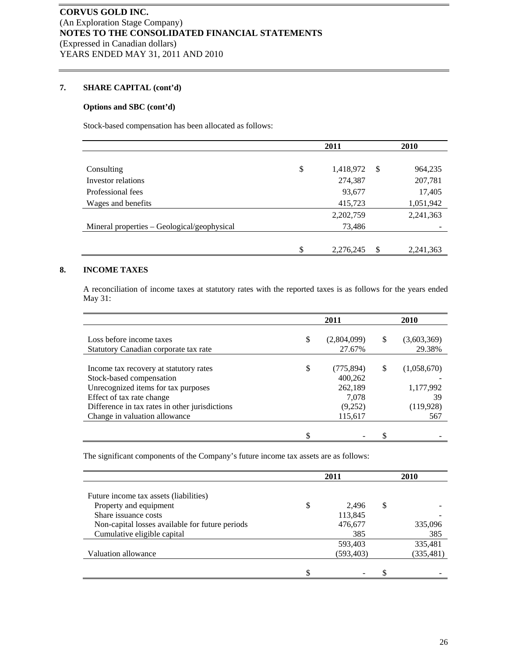# **7. SHARE CAPITAL (cont'd)**

# **Options and SBC (cont'd)**

Stock-based compensation has been allocated as follows:

|                                             | 2011            |    | 2010      |
|---------------------------------------------|-----------------|----|-----------|
|                                             |                 |    |           |
| Consulting                                  | \$<br>1,418,972 | -S | 964,235   |
| Investor relations                          | 274,387         |    | 207,781   |
| Professional fees                           | 93,677          |    | 17,405    |
| Wages and benefits                          | 415,723         |    | 1,051,942 |
|                                             | 2,202,759       |    | 2,241,363 |
| Mineral properties – Geological/geophysical | 73,486          |    |           |
|                                             |                 |    |           |
|                                             | \$<br>2,276,245 | S  | 2,241,363 |

# **8. INCOME TAXES**

A reconciliation of income taxes at statutory rates with the reported taxes is as follows for the years ended May 31:

|                                                                                 | 2011                        |   | 2010              |
|---------------------------------------------------------------------------------|-----------------------------|---|-------------------|
| Loss before income taxes                                                        | \$<br>(2,804,099)           | S | (3,603,369)       |
| Statutory Canadian corporate tax rate                                           | 27.67%                      |   | 29.38%            |
| Income tax recovery at statutory rates<br>Stock-based compensation              | \$<br>(775, 894)<br>400,262 | S | (1,058,670)       |
| Unrecognized items for tax purposes<br>Effect of tax rate change                | 262,189<br>7,078            |   | 1,177,992<br>39   |
| Difference in tax rates in other jurisdictions<br>Change in valuation allowance | (9,252)<br>115,617          |   | (119, 928)<br>567 |
|                                                                                 |                             |   |                   |

The significant components of the Company's future income tax assets are as follows:

|                                                 | 2011        |   | 2010       |
|-------------------------------------------------|-------------|---|------------|
| Future income tax assets (liabilities)          |             |   |            |
| Property and equipment                          | \$<br>2.496 | S |            |
| Share issuance costs                            | 113,845     |   |            |
| Non-capital losses available for future periods | 476,677     |   | 335,096    |
| Cumulative eligible capital                     | 385         |   | 385        |
|                                                 | 593,403     |   | 335,481    |
| Valuation allowance                             | (593, 403)  |   | (335, 481) |
|                                                 |             |   |            |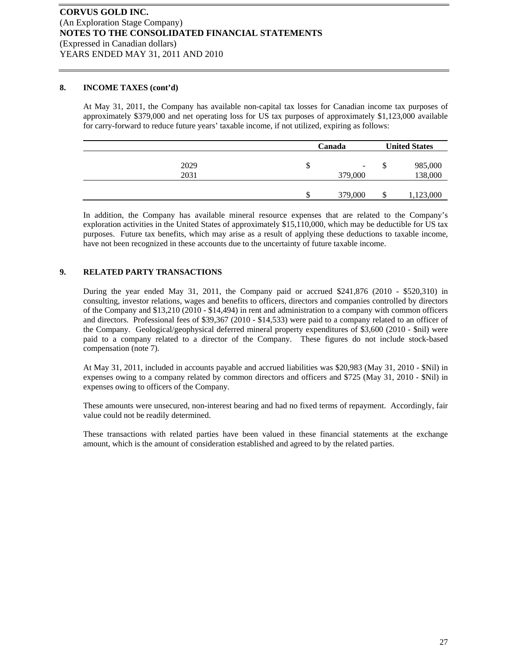#### **8. INCOME TAXES (cont'd)**

At May 31, 2011, the Company has available non-capital tax losses for Canadian income tax purposes of approximately \$379,000 and net operating loss for US tax purposes of approximately \$1,123,000 available for carry-forward to reduce future years' taxable income, if not utilized, expiring as follows:

|      | Canada |                              |    | <b>United States</b> |  |  |
|------|--------|------------------------------|----|----------------------|--|--|
| 2029 | \$     | $\qquad \qquad \blacksquare$ | Φ  | 985,000              |  |  |
| 2031 |        | 379,000                      |    | 138,000              |  |  |
|      | \$     | 379,000                      | \$ | 1,123,000            |  |  |

In addition, the Company has available mineral resource expenses that are related to the Company's exploration activities in the United States of approximately \$15,110,000, which may be deductible for US tax purposes. Future tax benefits, which may arise as a result of applying these deductions to taxable income, have not been recognized in these accounts due to the uncertainty of future taxable income.

# **9. RELATED PARTY TRANSACTIONS**

During the year ended May 31, 2011, the Company paid or accrued \$241,876 (2010 - \$520,310) in consulting, investor relations, wages and benefits to officers, directors and companies controlled by directors of the Company and \$13,210 (2010 - \$14,494) in rent and administration to a company with common officers and directors. Professional fees of \$39,367 (2010 - \$14,533) were paid to a company related to an officer of the Company. Geological/geophysical deferred mineral property expenditures of \$3,600 (2010 - \$nil) were paid to a company related to a director of the Company. These figures do not include stock-based compensation (note 7).

At May 31, 2011, included in accounts payable and accrued liabilities was \$20,983 (May 31, 2010 - \$Nil) in expenses owing to a company related by common directors and officers and \$725 (May 31, 2010 - \$Nil) in expenses owing to officers of the Company.

These amounts were unsecured, non-interest bearing and had no fixed terms of repayment. Accordingly, fair value could not be readily determined.

These transactions with related parties have been valued in these financial statements at the exchange amount, which is the amount of consideration established and agreed to by the related parties.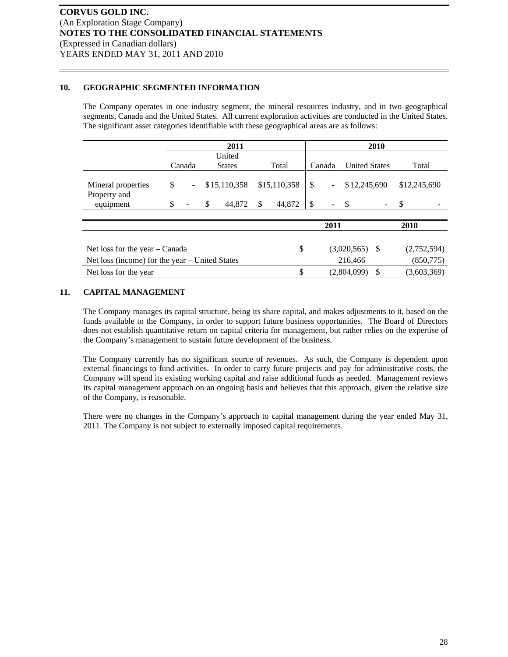# **10. GEOGRAPHIC SEGMENTED INFORMATION**

The Company operates in one industry segment, the mineral resources industry, and in two geographical segments, Canada and the United States. All current exploration activities are conducted in the United States. The significant asset categories identifiable with these geographical areas are as follows:

|                                                | 2011   |                |               |              |       |              | 2010             |                          |                      |    |              |  |
|------------------------------------------------|--------|----------------|---------------|--------------|-------|--------------|------------------|--------------------------|----------------------|----|--------------|--|
|                                                |        | United         |               |              |       |              |                  |                          |                      |    |              |  |
|                                                | Canada |                | <b>States</b> |              | Total |              | Canada           |                          | <b>United States</b> |    | Total        |  |
| Mineral properties<br>Property and             | \$     | $\blacksquare$ |               | \$15,110,358 |       | \$15,110,358 | \$               | $\overline{\phantom{a}}$ | \$12,245,690         |    | \$12,245,690 |  |
| equipment                                      | \$     |                | \$            | 44,872       | \$    | 44,872       | \$               |                          |                      |    |              |  |
|                                                |        |                |               |              |       |              |                  |                          |                      |    |              |  |
|                                                |        |                |               |              |       |              | 2011             |                          |                      |    | 2010         |  |
|                                                |        |                |               |              |       |              |                  |                          |                      |    |              |  |
| Net loss for the year $-$ Canada               |        |                |               | \$           |       |              | $(3,020,565)$ \$ |                          | (2,752,594)          |    |              |  |
| Net loss (income) for the year – United States |        |                |               |              |       |              | 216,466          |                          | (850,775)            |    |              |  |
| Net loss for the year                          |        |                |               |              |       |              |                  |                          | (2,804,099)          | \$ | (3,603,369)  |  |

# **11. CAPITAL MANAGEMENT**

The Company manages its capital structure, being its share capital, and makes adjustments to it, based on the funds available to the Company, in order to support future business opportunities. The Board of Directors does not establish quantitative return on capital criteria for management, but rather relies on the expertise of the Company's management to sustain future development of the business.

The Company currently has no significant source of revenues. As such, the Company is dependent upon external financings to fund activities. In order to carry future projects and pay for administrative costs, the Company will spend its existing working capital and raise additional funds as needed. Management reviews its capital management approach on an ongoing basis and believes that this approach, given the relative size of the Company, is reasonable.

There were no changes in the Company's approach to capital management during the year ended May 31, 2011. The Company is not subject to externally imposed capital requirements.